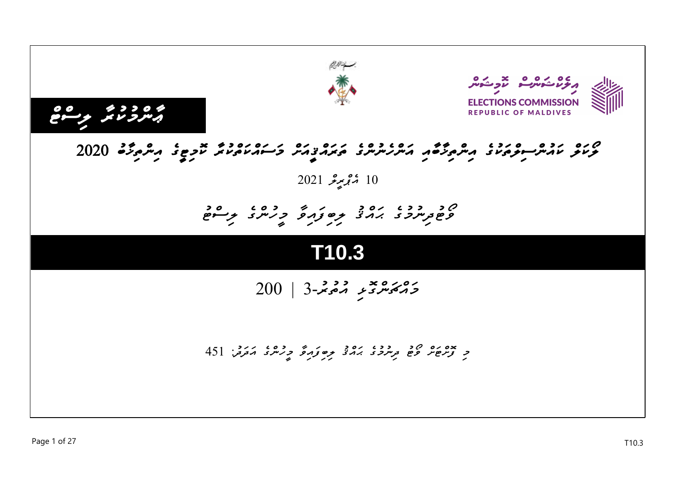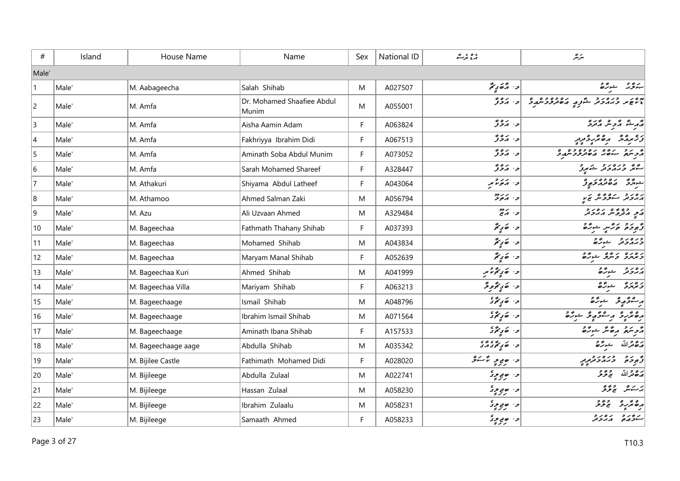| #              | Island | House Name          | Name                                | Sex         | <b>National ID</b> | ، ه ، ره<br>مربح برگ                                                                                                                                                                                                                                                                                                            | يترمثر                                          |
|----------------|--------|---------------------|-------------------------------------|-------------|--------------------|---------------------------------------------------------------------------------------------------------------------------------------------------------------------------------------------------------------------------------------------------------------------------------------------------------------------------------|-------------------------------------------------|
| Male'          |        |                     |                                     |             |                    |                                                                                                                                                                                                                                                                                                                                 |                                                 |
|                | Male'  | M. Aabageecha       | Salah Shihab                        | M           | A027507            | د . مُهُوَ مُو                                                                                                                                                                                                                                                                                                                  | بەنۇر ھەرقى                                     |
| $ 2\rangle$    | Male'  | M. Amfa             | Dr. Mohamed Shaafiee Abdul<br>Munim | M           | A055001            |                                                                                                                                                                                                                                                                                                                                 |                                                 |
| $\vert$ 3      | Male'  | M. Amfa             | Aisha Aamin Adam                    | $\mathsf F$ | A063824            | د . رَوُوٌ                                                                                                                                                                                                                                                                                                                      | أممر منتقد مركب مركبره                          |
| $\overline{4}$ | Male'  | M. Amfa             | Fakhriyya Ibrahim Didi              | $\mathsf F$ | A067513            | د . رَدُوٌ                                                                                                                                                                                                                                                                                                                      | وتهدم مقترحيير                                  |
| $\overline{5}$ | Male'  | M. Amfa             | Aminath Soba Abdul Munim            | $\mathsf F$ | A073052            | د . مَرْوَزٌ                                                                                                                                                                                                                                                                                                                    |                                                 |
| $\overline{6}$ | Male'  | M. Amfa             | Sarah Mohamed Shareef               | $\mathsf F$ | A328447            | د . رَوُوٌ                                                                                                                                                                                                                                                                                                                      | شهر وره دو شهرو                                 |
| $\vert$ 7      | Male'  | M. Athakuri         | Shiyama Abdul Latheef               | F           | A043064            | د· رَهُ وَلاَ مِر                                                                                                                                                                                                                                                                                                               | أشوره و بره وه د بر و                           |
| 8              | Male'  | M. Athamoo          | Ahmed Salman Zaki                   | M           | A056794            | כי ה' כדי                                                                                                                                                                                                                                                                                                                       | رەرو رەپەە پ                                    |
| 9              | Male'  | M. Azu              | Ali Uzvaan Ahmed                    | ${\sf M}$   | A329484            | כי המיץ                                                                                                                                                                                                                                                                                                                         | ړ په وه ده ده د ور                              |
| 10             | Male'  | M. Bageechaa        | Fathmath Thahany Shihab             | $\mathsf F$ | A037393            | و• ئەيمۇ                                                                                                                                                                                                                                                                                                                        | و و د د برگس شوگره                              |
| 11             | Male'  | M. Bageechaa        | Mohamed Shihab                      | M           | A043834            | وستحقي محم                                                                                                                                                                                                                                                                                                                      | وره دو شوره                                     |
| 12             | Male'  | M. Bageechaa        | Maryam Manal Shihab                 | F           | A052639            | $\frac{2}{5}$ $\frac{2}{5}$ $\frac{2}{5}$                                                                                                                                                                                                                                                                                       | رەرە رەۋ شەرە                                   |
| 13             | Male'  | M. Bageechaa Kuri   | Ahmed Shihab                        | M           | A041999            | $\frac{1}{2}$                                                                                                                                                                                                                                                                                                                   | ره رو شوره<br>دبروتر شوره                       |
| 14             | Male'  | M. Bageechaa Villa  | Mariyam Shihab                      | F           | A063213            | و· ھَءٍ مُحُومٌ                                                                                                                                                                                                                                                                                                                 | ره ره شوگره<br>تربرتر شوگره                     |
| 15             | Male'  | M. Bageechaage      | Ismail Shihab                       | M           | A048796            | وستحويد محمي                                                                                                                                                                                                                                                                                                                    | وستوكي والمحدث                                  |
| 16             | Male'  | M. Bageechaage      | Ibrahim Ismail Shihab               | M           | A071564            | و قويځو                                                                                                                                                                                                                                                                                                                         |                                                 |
| 17             | Male'  | M. Bageechaage      | Aminath Ibana Shihab                | F           | A157533            | و په کارگانگا                                                                                                                                                                                                                                                                                                                   | أأدبره وقاش شرزة                                |
| 18             | Male'  | M. Bageechaage aage | Abdulla Shihab                      | M           | A035342            | $\begin{bmatrix} 1 & 1 & 1 & 1 \\ 1 & 1 & 1 & 1 \\ 1 & 1 & 1 & 1 \\ 1 & 1 & 1 & 1 \\ 1 & 1 & 1 & 1 \\ 1 & 1 & 1 & 1 \\ 1 & 1 & 1 & 1 \\ 1 & 1 & 1 & 1 \\ 1 & 1 & 1 & 1 \\ 1 & 1 & 1 & 1 \\ 1 & 1 & 1 & 1 \\ 1 & 1 & 1 & 1 \\ 1 & 1 & 1 & 1 \\ 1 & 1 & 1 & 1 \\ 1 & 1 & 1 & 1 \\ 1 & 1 & 1 & 1 \\ 1 & 1 & 1 & 1 \\ 1 & 1 & 1 & $ | بره و الله شو <i>ره</i><br>مصرالله شو <i>ره</i> |
| 19             | Male'  | M. Bijilee Castle   | Fathimath Mohamed Didi              | F           | A028020            | و· ھەم ئەسكى<br>مەربە                                                                                                                                                                                                                                                                                                           | و ورەر دىرىد                                    |
| 20             | Male'  | M. Bijileege        | Abdulla Zulaal                      | M           | A022741            | و· ھەم دىگە                                                                                                                                                                                                                                                                                                                     | أرَّة مِّرَاللَّهُ يُحَرَّمُ                    |
| 21             | Male'  | M. Bijileege        | Hassan Zulaal                       | M           | A058230            | و٠ ھوري<br>و٠ ھوري                                                                                                                                                                                                                                                                                                              | ئەسەھرىمى ئۇ ئۇ                                 |
| 22             | Male'  | M. Bijileege        | Ibrahim Zulaalu                     | M           | A058231            | و٠ ھوري<br>ريسوري                                                                                                                                                                                                                                                                                                               | أرە ئۇرۇ بى ئۇ                                  |
| 23             | Male'  | M. Bijileege        | Samaath Ahmed                       | F           | A058233            | او ۱۰ ھاج وي<br>سيد مرکز                                                                                                                                                                                                                                                                                                        | ر در در در در                                   |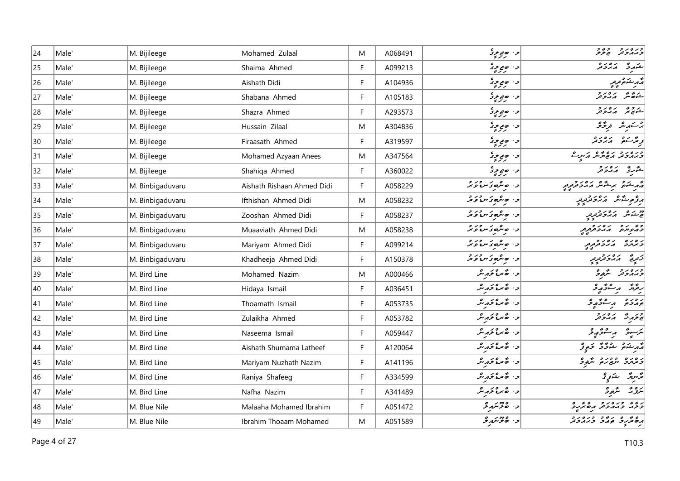| 24 | Male' | M. Bijileege     | Mohamed Zulaal             | ${\sf M}$ | A068491 | و٠ ھوري<br>ر                               | ورەر دەر<br>جەمەدىر سىمى                        |
|----|-------|------------------|----------------------------|-----------|---------|--------------------------------------------|-------------------------------------------------|
| 25 | Male' | M. Bijileege     | Shaima Ahmed               | F         | A099213 | و٠ ھوري<br>و٠ ھوري                         | شهروٌ مهرونر                                    |
| 26 | Male' | M. Bijileege     | Aishath Didi               | F         | A104936 | و . ھيج مور<br>سيد م                       | د د شکوه نویو<br>د کر شکوه نویو                 |
| 27 | Male' | M. Bijileege     | Shabana Ahmed              | F         | A105183 | و· ھي پورگا<br>سيد مرکز                    | شۇڭ مەدر                                        |
| 28 | Male' | M. Bijileege     | Shazra Ahmed               | F         | A293573 | و٠ ھوري<br>رير ۽                           | شوج پره دو                                      |
| 29 | Male' | M. Bijileege     | Hussain Zilaal             | M         | A304836 | ء ∙ ھ¤يور<br>ح∙ ھ¤يور                      | رحمار مرتزع                                     |
| 30 | Male' | M. Bijileege     | Firaasath Ahmed            | F         | A319597 | ا و . ھيج وي<br>سيد مسيح وي                | و پر دو در دورو                                 |
| 31 | Male' | M. Bijileege     | Mohamed Azyaan Anees       | ${\sf M}$ | A347564 | و٠ ھوري<br>ريسوري                          | כנסגב גם 20 ג'ייקים                             |
| 32 | Male' | M. Bijileege     | Shahiqa Ahmed              | F         | A360022 | و· ھۆمچە د<br>                             | أحقر تخدير ويرو                                 |
| 33 | Male' | M. Binbigaduvaru | Aishath Rishaan Ahmed Didi | F         | A058229 | כ קייקו <i>י שיפי</i>                      | ر<br>په مشکور مر شگار برگار در در برا           |
| 34 | Male' | M. Binbigaduvaru | Ifthishan Ahmed Didi       | M         | A058232 | وسي هم مع الله علم الله علم الله           |                                                 |
| 35 | Male' | M. Binbigaduvaru | Zooshan Ahmed Didi         | F         | A058237 | כ <sup>.</sup> קייקו <i>ס ב'ייער פ</i> ייק | دو رہے ہے کہ دوربر<br>پی شونٹر کے پرک ترتی      |
| 36 | Male' | M. Binbigaduvaru | Muaaviath Ahmed Didi       | M         | A058238 | وسوهو وسيومر                               | כמי נכוני הפניק.                                |
| 37 | Male' | M. Binbigaduvaru | Mariyam Ahmed Didi         | F         | A099214 | وسوهو وسيومر                               | ג פגם גםגבתת<br>האתב הגבעתת                     |
| 38 | Male' | M. Binbigaduvaru | Khadheeja Ahmed Didi       | F         | A150378 | כי פיתם צ'יינד פית                         | زَمِرِيحَ    الرَّجْرَ الرَّمْوِيرِ الرَّجْمَةِ |
| 39 | Male' | M. Bird Line     | Mohamed Nazim              | ${\sf M}$ | A000466 | - ځېږي ځه به ه<br> - ځېږو څرم              | ورەر د شجر                                      |
| 40 | Male' | M. Bird Line     | Hidaya Ismail              | F         | A036451 | و· ھُي وَمَدِيش                            | پەتەر بەسەۋەپەتى                                |
| 41 | Male' | M. Bird Line     | Thoamath Ismail            | F         | A053735 | و· ھُي گورمش                               | وورد وعدود                                      |
| 42 | Male' | M. Bird Line     | Zulaikha Ahmed             | F         | A053782 | و· ځېر، ځهرمثر                             | ەر ئەر تە<br>ح ئۇ م <sup>ەش</sup> ر             |
| 43 | Male' | M. Bird Line     | Naseema Ismail             | F         | A059447 | ر <sub>په ک</sub> ېمو د کرمر شر            | لترسوق الرساقيوقو                               |
| 44 | Male' | M. Bird Line     | Aishath Shumama Latheef    | F         | A120064 | و· ھُي مُحدِم مُر                          | وأرشام شروع كروو                                |
| 45 | Male' | M. Bird Line     | Mariyam Nuzhath Nazim      | F         | A141196 | و· ھُي مُحمد مَر                           | رەرە دورد شهره                                  |
| 46 | Male' | M. Bird Line     | Raniya Shafeeg             | F         | A334599 | د . ځمه کومړ شر                            | بڭر سۇرىق كەنتى ئىچە ئە                         |
| 47 | Male' | M. Bird Line     | Nafha Nazim                | F         | A341489 | <br> - ئەممەنچەر                           | برەپ شەرە                                       |
| 48 | Male' | M. Blue Nile     | Malaaha Mohamed Ibrahim    | F         | A051472 | ه دهم در د                                 | ניי כנהבת הסתיב                                 |
| 49 | Male' | M. Blue Nile     | Ibrahim Thoaam Mohamed     | ${\sf M}$ | A051589 | ه ودرو                                     |                                                 |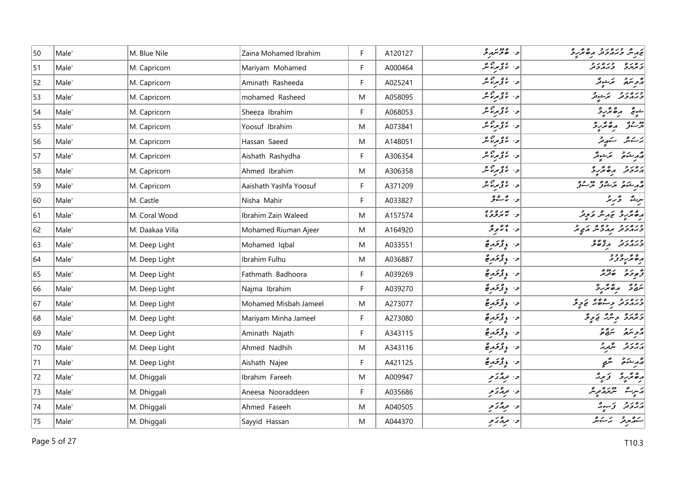| 50 | Male' | M. Blue Nile    | Zaina Mohamed Ibrahim  | F  | A120127 | ه ودريد و                                          | ىم ئىگە دىمەددىر مەھكەد                                |
|----|-------|-----------------|------------------------|----|---------|----------------------------------------------------|--------------------------------------------------------|
| 51 | Male' | M. Capricorn    | Mariyam Mohamed        | F. | A000464 | <sub>و</sub> . ئ <sub>ە</sub> ۋىرىئاتىر            | و رە ر د<br>تر پر تر تر<br>ر ه بر ه                    |
| 52 | Male' | M. Capricorn    | Aminath Rasheeda       | F. | A025241 | د ، مأو برما مگر                                   | أزويتم تمنوش                                           |
| 53 | Male' | M. Capricorn    | mohamed Rasheed        | M  | A058095 | د ، غړو پرتمبر                                     | ورەرو كەنبەتى                                          |
| 54 | Male' | M. Capricorn    | Sheeza Ibrahim         | F  | A068053 | د ، غږو پر ماهر<br>د ۱۰ نومبر ماهر                 | ەرھ ئ <sup>ۆ</sup> ر ۋ<br>شویج<br>و                    |
| 55 | Male' | M. Capricorn    | Yoosuf Ibrahim         | M  | A073841 | ح <sup>،</sup> ئۈچرىئەنگە                          | برە ئۆرۈ<br>دد حره<br>در سه تو                         |
| 56 | Male' | M. Capricorn    | Hassan Saeed           | M  | A148051 | ح <sup>.</sup> ئۇ ب <sub>و</sub> رىمىگە            | پر سے میں سے م <i>یں مذ</i>                            |
| 57 | Male' | M. Capricorn    | Aishath Rashydha       | F  | A306354 | د ، غړو پر ماکنو                                   | د<br>مگر شکو ترشونگر                                   |
| 58 | Male' | M. Capricorn    | Ahmed Ibrahim          | M  | A306358 | <sub>ح</sub> . ئ <sub>ۇ ت</sub> رى <sub>نى</sub> ش | ورود مصرور                                             |
| 59 | Male' | M. Capricorn    | Aaishath Yashfa Yoosuf | F  | A371209 | چ <sup>،</sup> ع <sup>و</sup> کو پرنڈمبر           | د در در در دور ده و در ده<br>د در شوی افزایشو افزایشون |
| 60 | Male' | M. Castle       | Nisha Mahir            | F  | A033827 | د . ئۈشكەنتى                                       | سرننگ الرائز                                           |
| 61 | Male' | M. Coral Wood   | Ibrahim Zain Waleed    | M  | A157574 | پر بره وه<br>و· ما برخ و ه                         | رەترىر ئەرش ئويتر                                      |
| 62 | Male' | M. Daakaa Villa | Mohamed Riuman Ajeer   | M  | A164920 | د ، ڏڻءِ ڦُ                                        | ورەرو بروۋە كەي ك                                      |
| 63 | Male' | M. Deep Light   | Mohamed Iqbal          | M  | A033551 | حسي ومخرج                                          | ورەر دەپە                                              |
| 64 | Male' | M. Deep Light   | Ibrahim Fulhu          | M  | A036887 | حسي ومخرم                                          | ە ئە ئەرە دېر<br>بەھ ئىر ئە ئە ئە                      |
| 65 | Male' | M. Deep Light   | Fathmath Badhoora      | F  | A039269 | حسي ومخرم                                          | و دو دود.<br>وگړو که دون                               |
| 66 | Male' | M. Deep Light   | Najma Ibrahim          | F  | A039270 | حسي ومخرج                                          | بروو مصرور                                             |
| 67 | Male' | M. Deep Light   | Mohamed Misbah Jameel  | M  | A273077 | د ، و ژخهره ۱                                      | ورەرو دېگە ئەچ                                         |
| 68 | Male' | M. Deep Light   | Mariyam Minha Jameel   | F  | A273080 | د ، و ژخهره                                        | دورو وترته قءوٍ و                                      |
| 69 | Male' | M. Deep Light   | Aminath Najath         | F  | A343115 | وسيوقر فرمره                                       | أأدجن المتفاد                                          |
| 70 | Male' | M. Deep Light   | Ahmed Nadhih           | M  | A343116 | وسي فحر مرضح                                       | پره پر په پېړيز                                        |
| 71 | Male' | M. Deep Light   | Aishath Najee          | F  | A421125 | حسي ومخرج                                          | و مر شو د<br>مرکز شو د                                 |
| 72 | Male' | M. Dhiggali     | Ibrahim Fareeh         | M  | A009947 | و· مروكو محر                                       | رە ئەر ئىر                                             |
| 73 | Male' | M. Dhiggali     | Aneesa Nooraddeen      | F  | A035686 | و· مروكي محر<br>م                                  | پرسرے متعدد میں                                        |
| 74 | Male' | M. Dhiggali     | Ahmed Faseeh           | M  | A040505 | و· مرور کو                                         | أرەر ئەسپە                                             |
| 75 | Male' | M. Dhiggali     | Sayyid Hassan          | M  | A044370 | و· مرم <sup>2</sup> کو                             | سەمەمەتر كەسكەنگر                                      |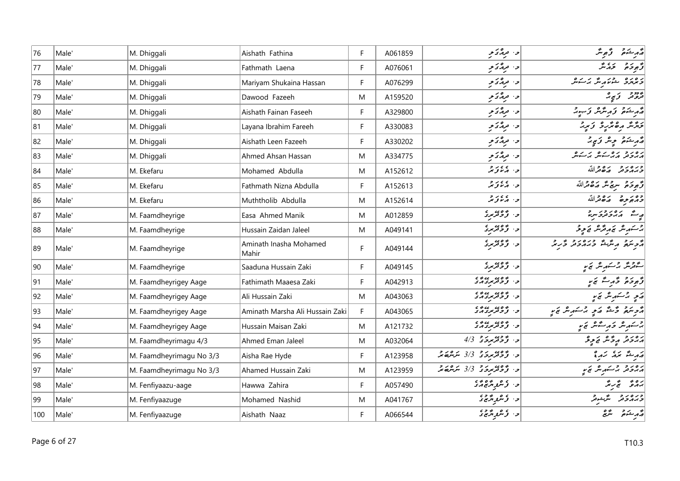| 76  | Male' | M. Dhiggali              | Aishath Fathina                 | F           | A061859 | و· ترورځ په                                     | أمر مشمر ومحافظ              |
|-----|-------|--------------------------|---------------------------------|-------------|---------|-------------------------------------------------|------------------------------|
| 77  | Male' | M. Dhiggali              | Fathmath Laena                  | F           | A076061 | —<br>اح• فره نمی                                | أوجاده المراد المراد         |
| 78  | Male' | M. Dhiggali              | Mariyam Shukaina Hassan         | F           | A076299 | د· مرم <sup>2</sup> کو                          | ב מתכנים מות הציבות          |
| 79  | Male' | M. Dhiggali              | Dawood Fazeeh                   | M           | A159520 | د· مر <i>ه دک</i> ر                             | ودود ترىپ <sup>ە</sup>       |
| 80  | Male' | M. Dhiggali              | Aishath Fainan Faseeh           | F           | A329800 | و٠ ترړۍ تو                                      | قەرشكى ۋە ئىر ئىس ۋىبار      |
| 81  | Male' | M. Dhiggali              | Layana Ibrahim Fareeh           | F           | A330083 | و· مرم <sup>2</sup> کو                          | دوير معترد وبد               |
| 82  | Male' | M. Dhiggali              | Aishath Leen Fazeeh             | F           | A330202 | و· مرم <sup>2</sup> کو                          | قەرشىق چىگ ۋېچ               |
| 83  | Male' | M. Dhiggali              | Ahmed Ahsan Hassan              | ${\sf M}$   | A334775 | و· مرم <sup>2</sup> کو                          | رەر دىرە ئەھرىرىدە           |
| 84  | Male' | M. Ekefaru               | Mohamed Abdulla                 | ${\sf M}$   | A152612 | ه ۱ ور د د                                      | وره رو بره دالله             |
| 85  | Male' | M. Ekefaru               | Fathmath Nizna Abdulla          | F           | A152613 | ه ۱ ور د در<br>د ۱ ارملونو                      | قرج حرح سرج محر مرضورالله    |
| 86  | Male' | M. Ekefaru               | Muththolib Abdulla              | ${\sf M}$   | A152614 | ە بەرە دىر<br>مەم ئەس                           | دە ئوھ مەھىراللە             |
| 87  | Male' | M. Faamdheyrige          | Easa Ahmed Manik                | ${\sf M}$   | A012859 | و . وه وه<br>و . تر و تر مرد                    | أوث مرور وروبر               |
| 88  | Male' | M. Faamdheyrige          | Hussain Zaidan Jaleel           | ${\sf M}$   | A049141 | د . وه ده د .<br>  د . و د در مرد               | برستهرش تمهرشك فأويحر        |
| 89  | Male' | M. Faamdheyrige          | Aminath Inasha Mohamed<br>Mahir | F           | A049144 | و وه وه . و .<br>  و و و تعريبو د               | أد رو مستر وره دو و د        |
| 90  | Male' | M. Faamdheyrige          | Saaduna Hussain Zaki            | F           | A049145 | و٠ وګوترېږي                                     | گەرگە ئەسكەر بىر ئەير        |
| 91  | Male' | M. Faamdheyrigey Aage    | Fathimath Maaesa Zaki           | $\mathsf F$ | A042913 | و و وه به ده و ده<br>د و گرم در در              | و دو و در مع نم              |
| 92  | Male' | M. Faamdheyrigey Aage    | Ali Hussain Zaki                | M           | A043063 | و .  ژوندیری دی<br>و .  ژوندیری پری             | ړې پر شوږ ه نم               |
| 93  | Male' | M. Faamdheyrigey Aage    | Aminath Marsha Ali Hussain Zaki | F           | A043065 | و به وه ده ده ده و د<br>و به وگرمرد در          | أأوسم وكمش أأو بالسرائر أأو  |
| 94  | Male' | M. Faamdheyrigey Aage    | Hussain Maisan Zaki             | ${\sf M}$   | A121732 | و به نوو ورود و د<br>و به نوو تربر و برو        | چەسىرىكە خەرىسىگىرىمى        |
| 95  | Male' | M. Faamdheyrimagu 4/3    | Ahmed Eman Jaleel               | ${\sf M}$   | A032064 | و· وُوتر برو 3/3                                | ړه د د پرځند ټوپو            |
| 96  | Male' | M. Faamdheyrimagu No 3/3 | Aisha Rae Hyde                  | F           | A123958 | و ووتربروی 3/3 سرس د                            | مكر منتشر الكريم الكردية     |
| 97  | Male' | M. Faamdheyrimagu No 3/3 | Ahamed Hussain Zaki             | ${\sf M}$   | A123959 | و ووتربروی 3/3 سرچه پر                          | وحدد بالمسكر منظم المحمد     |
| 98  | Male' | M. Fenfiyaazu-aage       | Hawwa Zahira                    | F           | A057490 | و . و مروج مرد .<br> - و مروج مرد .             | رەپ تى بەر                   |
| 99  | Male' | M. Fenfiyaazuge          | Mohamed Nashid                  | M           | A041767 | د . ژین <sub>گر</sub> مزم .<br>د . ژینگر مربع د | و ره ر د<br><i>و پر د</i> تر |
| 100 | Male' | M. Fenfiyaazuge          | Aishath Naaz                    | F           | A066544 | د · گر شرور پرو ،<br>د · گر شرو شیم پر          | أقدم شوه سترجى               |
|     |       |                          |                                 |             |         |                                                 |                              |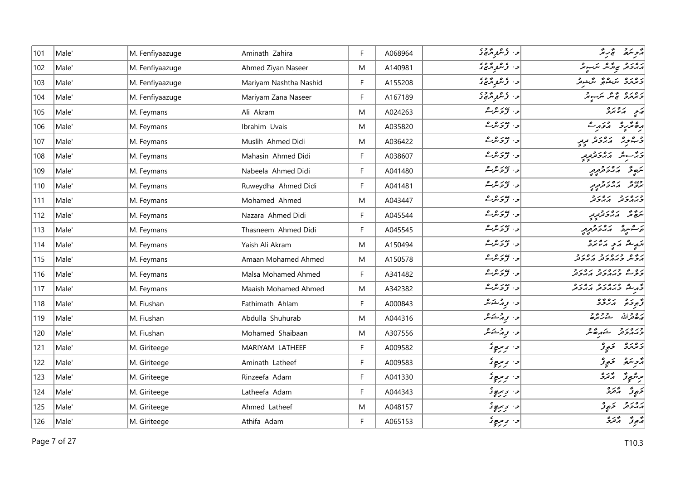| 101 | Male' | M. Fenfiyaazuge | Aminath Zahira         | F         | A068964 | د· ۇمىرومىيى                                                                                                            | أزويتم ومحمية                                              |
|-----|-------|-----------------|------------------------|-----------|---------|-------------------------------------------------------------------------------------------------------------------------|------------------------------------------------------------|
| 102 | Male' | M. Fenfiyaazuge | Ahmed Ziyan Naseer     | M         | A140981 | د ۰ ؤېترو پروه دی                                                                                                       | رور و به پژمر مرکب د                                       |
| 103 | Male' | M. Fenfiyaazuge | Mariyam Nashtha Nashid | F         | A155208 | د· ۇنتروپرىيى                                                                                                           | رەرە سەھەم شىدور                                           |
| 104 | Male' | M. Fenfiyaazuge | Mariyam Zana Naseer    | F         | A167189 | د . ۇ شرېر پرېږ                                                                                                         | د ۱۵ و محمد مرکز می                                        |
| 105 | Male' | M. Feymans      | Ali Akram              | M         | A024263 | د . تۇرتىرگ                                                                                                             |                                                            |
| 106 | Male' | M. Feymans      | Ibrahim Uvais          | M         | A035820 |                                                                                                                         | مەھرىرى مەمدى                                              |
| 107 | Male' | M. Feymans      | Muslih Ahmed Didi      | M         | A036422 | د . تۇرتىرى                                                                                                             | و ه و و د د د د د د د د د د                                |
| 108 | Male' | M. Feymans      | Mahasin Ahmed Didi     | F         | A038607 |                                                                                                                         | ار محسوش از مرد در در در برد.<br>افزیر سوش از مرد مرد برد. |
| 109 | Male' | M. Feymans      | Nabeela Ahmed Didi     | F         | A041480 | ى ئۇ ئەمەر ھ                                                                                                            | سَعِيمٌ مَ بَرْهِ رَّ مِرْمَرِ مِرْ                        |
| 110 | Male' | M. Feymans      | Ruweydha Ahmed Didi    | F         | A041481 |                                                                                                                         |                                                            |
| 111 | Male' | M. Feymans      | Mohamed Ahmed          | M         | A043447 | ى ئۇ ئەمەر <u>م</u>                                                                                                     | כנסנכ נסנכ<br>כגהכת הגבת                                   |
| 112 | Male' | M. Feymans      | Nazara Ahmed Didi      | F         | A045544 |                                                                                                                         | ر د د د د د در در در در در در د است که د د                 |
| 113 | Male' | M. Feymans      | Thasneem Ahmed Didi    | F         | A045545 |                                                                                                                         | ار عسره در دوروس<br>موسيره مدد در ديد                      |
| 114 | Male' | M. Feymans      | Yaish Ali Akram        | ${\sf M}$ | A150494 | لى بىم ئەرەپ ھەت بىر ئىستىدا ئىستان ئىستان ئىستان ئىستان ئىستان ئىستان ئىستان ئىستان ئىستان ئىستان ئىستان ئىست<br>مەنبە | أترمي شمس كالمردم                                          |
| 115 | Male' | M. Feymans      | Amaan Mohamed Ahmed    | ${\sf M}$ | A150578 | ى ئۇ ئەمەر <u>م</u>                                                                                                     | גשם כנסגב גםגב<br>הכית כמהכת המכת                          |
| 116 | Male' | M. Feymans      | Malsa Mohamed Ahmed    | F         | A341482 |                                                                                                                         | ده به دره ده ره دو<br>دوبه در دوبر دروبر                   |
| 117 | Male' | M. Feymans      | Maaish Mohamed Ahmed   | M         | A342382 | ى ئۇنزى <i>نى</i> ر                                                                                                     | ه مده دره در ده د د<br>ترمث تربر دتر مدد تر                |
| 118 | Male' | M. Fiushan      | Fathimath Ahlam        | F         | A000843 | <mark>و. پ</mark> رچمنشر                                                                                                | قهوزة مرووو                                                |
| 119 | Male' | M. Fiushan      | Abdulla Shuhurab       | M         | A044316 | <mark>و. وړېمند</mark> شر                                                                                               | برە تراللە<br>رو و د و<br>مشور بون                         |
| 120 | Male' | M. Fiushan      | Mohamed Shaibaan       | ${\sf M}$ | A307556 | <mark>و. پ</mark> رچمشکر                                                                                                | و ر ه ر د<br>تر پر ژ تر<br>شەرە ئەر                        |
| 121 | Male' | M. Giriteege    | MARIYAM LATHEEF        | F         | A009582 | و· پرېږې                                                                                                                | د ۱۵ د مر و                                                |
| 122 | Male' | M. Giriteege    | Aminath Latheef        | F         | A009583 | و· <sub>کو مح</sub> رچ د<br>گرمرنو                                                                                      | أأزجر سكرة والمحبوقر                                       |
| 123 | Male' | M. Giriteege    | Rinzeefa Adam          | F         | A041330 | او کو مربع د<br>کار کرد د                                                                                               | ىر بى <sub>رى</sub> ئە<br>پھر ہ<br>مرکز                    |
| 124 | Male' | M. Giriteege    | Latheefa Adam          | F         | A044343 | او ، و برج دُ<br>سسمت                                                                                                   | تخبوثر المترد                                              |
| 125 | Male' | M. Giriteege    | Ahmed Latheef          | M         | A048157 | و٠ و مرج د<br>ر رپ                                                                                                      | رەر ئەرۋ                                                   |
| 126 | Male' | M. Giriteege    | Athifa Adam            | F         | A065153 |                                                                                                                         | أمجموقر المرتدح                                            |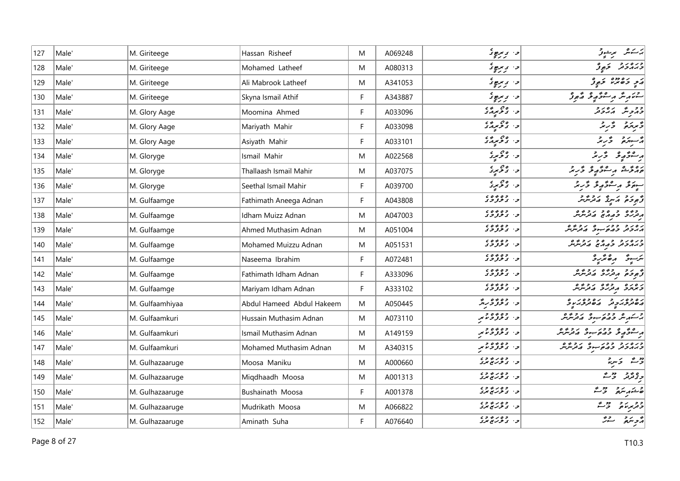| 127 | Male' | M. Giriteege    | Hassan Risheef            | M           | A069248 | او کو مربع د<br>سند مربع د                                                                                                                                                                                                                                                                                                                                                                                                                                       | پرستانگر - برڪوڙ                                                                                              |
|-----|-------|-----------------|---------------------------|-------------|---------|------------------------------------------------------------------------------------------------------------------------------------------------------------------------------------------------------------------------------------------------------------------------------------------------------------------------------------------------------------------------------------------------------------------------------------------------------------------|---------------------------------------------------------------------------------------------------------------|
| 128 | Male' | M. Giriteege    | Mohamed Latheef           | M           | A080313 | و· <sub>کو مح</sub> رچ د<br>گرمرچ                                                                                                                                                                                                                                                                                                                                                                                                                                | دره رو در و                                                                                                   |
| 129 | Male' | M. Giriteege    | Ali Mabrook Latheef       | M           | A341053 | و· پر برچ د<br>گرگر                                                                                                                                                                                                                                                                                                                                                                                                                                              | ړ په ده وه د و                                                                                                |
| 130 | Male' | M. Giriteege    | Skyna Ismail Athif        | F.          | A343887 | او· پر مرج ځا                                                                                                                                                                                                                                                                                                                                                                                                                                                    | شنذر بىگە مەستۇم بۇ ھەمبۇق <mark>ى</mark>                                                                     |
| 131 | Male' | M. Glory Aage   | Moomina Ahmed             | F           | A033096 | $\begin{bmatrix} 2 & 0 & 0 \\ 0 & 2 & 0 \\ 0 & 0 & 0 \\ 0 & 0 & 0 \\ 0 & 0 & 0 \\ 0 & 0 & 0 \\ 0 & 0 & 0 \\ 0 & 0 & 0 \\ 0 & 0 & 0 \\ 0 & 0 & 0 \\ 0 & 0 & 0 \\ 0 & 0 & 0 \\ 0 & 0 & 0 \\ 0 & 0 & 0 & 0 \\ 0 & 0 & 0 & 0 \\ 0 & 0 & 0 & 0 \\ 0 & 0 & 0 & 0 & 0 \\ 0 & 0 & 0 & 0 & 0 \\ 0 & 0 & 0 & 0 & 0 \\ 0 & 0 & 0 & 0 & 0 & $                                                                                                                                | پروژو<br>د در پژ                                                                                              |
| 132 | Male' | M. Glory Aage   | Mariyath Mahir            | $\mathsf F$ | A033098 | ه ده وي.<br>د کوکوپرو                                                                                                                                                                                                                                                                                                                                                                                                                                            | وحميريزة والمرار                                                                                              |
| 133 | Male' | M. Glory Aage   | Asiyath Mahir             | F           | A033101 | ه ۱۵۵ وي.<br>د کوکوپردگ                                                                                                                                                                                                                                                                                                                                                                                                                                          | و استعاده و المحرم المر                                                                                       |
| 134 | Male' | M. Gloryge      | Ismail Mahir              | M           | A022568 | و وه وي                                                                                                                                                                                                                                                                                                                                                                                                                                                          | وستوصف وحريمه                                                                                                 |
| 135 | Male' | M. Gloryge      | Thallaash Ismail Mahir    | M           | A037075 | ا د . د و کمپرد                                                                                                                                                                                                                                                                                                                                                                                                                                                  | وووثة وحوظو وربر                                                                                              |
| 136 | Male' | M. Gloryge      | Seethal Ismail Mahir      | F           | A039700 | $\overline{\begin{array}{ccc} \overline{c_{12}} & \overline{c_{23}} & \overline{c_{24}} & \overline{c_{25}} & \overline{c_{26}} & \overline{c_{26}} & \overline{c_{26}} & \overline{c_{26}} & \overline{c_{26}} & \overline{c_{26}} & \overline{c_{26}} & \overline{c_{26}} & \overline{c_{26}} & \overline{c_{26}} & \overline{c_{26}} & \overline{c_{26}} & \overline{c_{26}} & \overline{c_{26}} & \overline{c_{26}} & \overline{c_{26}} & \overline{c_{26}}$ | - پۇتۇ برىشۇپەتۇ بۇرلا                                                                                        |
| 137 | Male' | M. Gulfaamge    | Fathimath Aneega Adnan    | F           | A043808 | وه وه وه و<br>و · <b>کامرتو</b> نو                                                                                                                                                                                                                                                                                                                                                                                                                               | وتجوخو أأسرقه أأوادهم                                                                                         |
| 138 | Male' | M. Gulfaamge    | Idham Muizz Adnan         | M           | A047003 | وه وه وه و <i>ه</i><br>و ۰ کامونوکوک                                                                                                                                                                                                                                                                                                                                                                                                                             | و ده و و و د د د و و و                                                                                        |
| 139 | Male' | M. Gulfaamge    | Ahmed Muthasim Adnan      | M           | A051004 | وه وه وه و<br>و· کامونونوک                                                                                                                                                                                                                                                                                                                                                                                                                                       | גם גב בכל הם גבעית.<br>גגבת כגם הבית                                                                          |
| 140 | Male' | M. Gulfaamge    | Mohamed Muizzu Adnan      | M           | A051531 | وه وه وه و<br>و۰ ک <b>وتو</b> وک                                                                                                                                                                                                                                                                                                                                                                                                                                 | وره رو و مود رومه                                                                                             |
| 141 | Male' | M. Gulfaamge    | Naseema Ibrahim           | F           | A072481 | و وه وه و و<br>و ان <b>وتو</b> و و                                                                                                                                                                                                                                                                                                                                                                                                                               | يترسوخه وهتربرد                                                                                               |
| 142 | Male' | M. Gulfaamge    | Fathimath Idham Adnan     | F           | A333096 | وه وه وه و<br>و۰ ک <b>و</b> ژوک                                                                                                                                                                                                                                                                                                                                                                                                                                  | و دو دوره دوده                                                                                                |
| 143 | Male' | M. Gulfaamge    | Mariyam Idham Adnan       | F           | A333102 | وه وه وه و<br>و· ک <b>ونو</b> وک                                                                                                                                                                                                                                                                                                                                                                                                                                 | ת הת ה כשה ת כשה<br>המינוכ הנקבר הנקייקייק                                                                    |
| 144 | Male' | M. Gulfaamhiyaa | Abdul Hameed Abdul Hakeem | M           | A050445 | وسي وه د و گرمگر                                                                                                                                                                                                                                                                                                                                                                                                                                                 | קס בסק בן קס בסק הס<br>הסט באבל בא הסט בא                                                                     |
| 145 | Male' | M. Gulfaamkuri  | Hussain Muthasim Adnan    | M           | A073110 | و وه وه و و د                                                                                                                                                                                                                                                                                                                                                                                                                                                    | بر کرمر شده در در در در در در در این کرمر بردار در این در این در این در این در این در در در این در این در این |
| 146 | Male' | M. Gulfaamkuri  | Ismail Muthasim Adnan     | M           | A149159 | و وه وه و و د                                                                                                                                                                                                                                                                                                                                                                                                                                                    | ړ هڅو په دوه سرد وروسرس                                                                                       |
| 147 | Male' | M. Gulfaamkuri  | Mohamed Muthasim Adnan    | M           | A340315 | وسي وه ژه وج                                                                                                                                                                                                                                                                                                                                                                                                                                                     | כנסנכ ככנה כ"כניס"<br>כממכת כמים היכ" מתייתיית                                                                |
| 148 | Male' | M. Gulhazaaruge | Moosa Maniku              | M           | A000660 | و ه و د ه و ه<br>و ۰ ک بخرنرنج نیزی                                                                                                                                                                                                                                                                                                                                                                                                                              | وحرث كالمركز                                                                                                  |
| 149 | Male' | M. Gulhazaaruge | Miqdhaadh Moosa           | M           | A001313 | و ه و د ه و ه<br>و ۰ ک مخرم تع بوی                                                                                                                                                                                                                                                                                                                                                                                                                               | وتوترتر فتمسكم                                                                                                |
| 150 | Male' | M. Gulhazaaruge | Bushainath Moosa          | F           | A001378 | و ه و د ه و ه<br>و ۰ ک مخرم تع بوی                                                                                                                                                                                                                                                                                                                                                                                                                               | ەشكەر سى ئەس                                                                                                  |
| 151 | Male' | M. Gulhazaaruge | Mudrikath Moosa           | M           | A066822 | و ہے ور پر و ی<br>و پہ و ور پر مرد                                                                                                                                                                                                                                                                                                                                                                                                                               | د و پرېږي.<br>د ترېږېدنو                                                                                      |
| 152 | Male' | M. Gulhazaaruge | Aminath Suha              | F           | A076640 | و ہ ور پر و ء<br>و پ محرم محری                                                                                                                                                                                                                                                                                                                                                                                                                                   | ړ په دي ک                                                                                                     |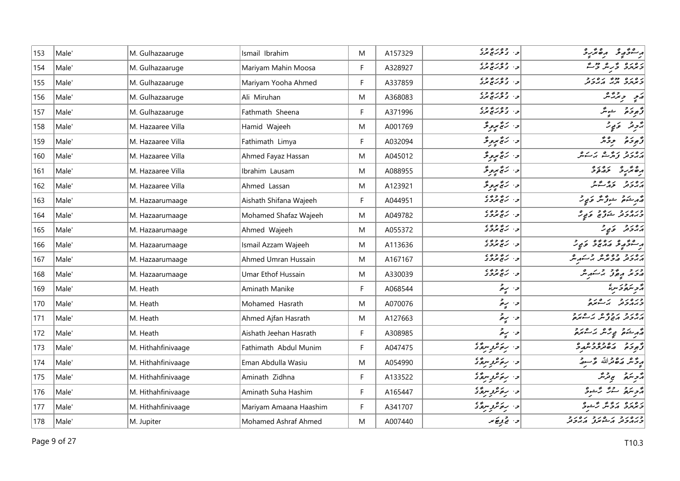| 153 | Male' | M. Gulhazaaruge    | Ismail Ibrahim            | M  | A157329 | وه و و د و و ء<br>و په و مخرمۍ موړ                | وكتورو وقترو                                |
|-----|-------|--------------------|---------------------------|----|---------|---------------------------------------------------|---------------------------------------------|
| 154 | Male' | M. Gulhazaaruge    | Mariyam Mahin Moosa       | F. | A328927 | و ہ ور پر و ء<br>و پ محرک محری                    | رەرە پەر دىگە                               |
| 155 | Male' | M. Gulhazaaruge    | Mariyam Yooha Ahmed       | F. | A337859 | وه ره و و و<br>و٠ کالمخرمنی موی                   | ג סגם "חדש גם גב<br>בינות כ"חג" הגבת        |
| 156 | Male' | M. Gulhazaaruge    | Ali Miruhan               | M  | A368083 | و ه و د ه و ه<br>و ۰ ک مخرم تع بوی                | أرشم وبرجمه                                 |
| 157 | Male' | M. Gulhazaaruge    | Fathmath Sheena           | F  | A371996 | وه و و د و و و و<br>و ۰ و لو رنح مود              | ۇي <sub>م</sub> وڭ <sub>ۇ شې</sub> تر       |
| 158 | Male' | M. Hazaaree Villa  | Hamid Wajeeh              | M  | A001769 | و· رَجٌ <sub>مَرِهِ</sub> وَّ                     | رٌوتر کورٍ ژ                                |
| 159 | Male' | M. Hazaaree Villa  | Fathimath Limya           | F. | A032094 | د· رَبِّ موه مِرَّ                                | وٌمِ وَمَعْ حِرْمٌ                          |
| 160 | Male' | M. Hazaaree Villa  | Ahmed Fayaz Hassan        | M  | A045012 | ح · سَنَجَ مِرِهِ قَرْ                            | رەرد زېر ئەسەس                              |
| 161 | Male' | M. Hazaaree Villa  | Ibrahim Lausam            | M  | A088955 | <sub>و</sub> . رَبِّ <sub>مُح</sub> مِّدٍ         | مەشرىق بەم دە                               |
| 162 | Male' | M. Hazaaree Villa  | Ahmed Lassan              | M  | A123921 | و. رَبِّ مِرِهِ قَر                               | رەرە رەپ                                    |
| 163 | Male' | M. Hazaarumaage    | Aishath Shifana Wajeeh    | F. | A044951 | ر د ۶۶۶.<br>و۰ رئی بود د                          | ړٌ پرېشمۇ سورٌ نگر كومې د                   |
| 164 | Male' | M. Hazaarumaage    | Mohamed Shafaz Wajeeh     | M  | A049782 | ر بر د د د د ،<br>و۰ کريج بورو ی                  | ورەر دېر دو کې                              |
| 165 | Male' | M. Hazaarumaage    | Ahmed Wajeeh              | M  | A055372 | ر بر د و و »<br>و ۰ کریخ بودی                     | دەر د ئەرج                                  |
| 166 | Male' | M. Hazaarumaage    | Ismail Azzam Wajeeh       | M  | A113636 | ر بر بر و بر و<br>و · کریج بودگری                 | ر موځ په ده ده د وي.<br>د سرگړنو په دی کالي |
| 167 | Male' | M. Hazaarumaage    | Ahmed Umran Hussain       | M  | A167167 | و ۰ کريم وي و<br>و ۰ کريم مرو و                   | גם גב כם גם כבירה ש                         |
| 168 | Male' | M. Hazaarumaage    | <b>Umar Ethof Hussain</b> | M  | A330039 | ر در ۱۶۶۶<br>و۰ کريم برو د                        | ەدىر رەۋز رىسىر                             |
| 169 | Male' | M. Heath           | Aminath Manike            | F. | A068544 | ا و .  ره<br>___ ځ                                | اړم سره د سره<br>ا                          |
| 170 | Male' | M. Heath           | Mohamed Hasrath           | M  | A070076 | و· رِهْ                                           | وره رو در درو                               |
| 171 | Male' | M. Heath           | Ahmed Ajfan Hasrath       | M  | A127663 | و ره.                                             | ره ر د پر دی.<br>مهرونتر مهانوش بر سویره    |
| 172 | Male' | M. Heath           | Aishath Jeehan Hasrath    | F  | A308985 | و· رِهْ                                           | مەر ئىكى بېرىش بر ئىسىر بور                 |
| 173 | Male' | M. Hithahfinivaage | Fathimath Abdul Munim     | F  | A047475 | د . ر <sub>ە</sub> ئ <sub>ە</sub> ر بورگەنگى<br>م | و دو ده دووورو                              |
| 174 | Male' | M. Hithahfinivaage | Eman Abdulla Wasiu        | M  | A054990 | د . ر <sub>ە</sub> ئۇر بىر <u>ەئى</u>             | مِرْسْرَ مَصْرَاللَّهُ عَرْسُهُمْ           |
| 175 | Male' | M. Hithahfinivaage | Aminath Zidhna            | F  | A133522 | د. رۇروسۇم                                        | أثرجر سنكفح محوشر                           |
| 176 | Male' | M. Hithahfinivaage | Aminath Suha Hashim       | F  | A165447 | د· رەڭرومروكا                                     |                                             |
| 177 | Male' | M. Hithahfinivaage | Mariyam Amaana Haashim    | F. | A341707 | د· رۇش <sub>ۇ بىر</sub> ۇ،                        | رەرە رەپر رەيدە                             |
| 178 | Male' | M. Jupiter         | Mohamed Ashraf Ahmed      | M  | A007440 | و· قي وڃَ مر                                      | ورەرو رورو رەرو<br>وبرارونر ارشورز اربرونر  |
|     |       |                    |                           |    |         |                                                   |                                             |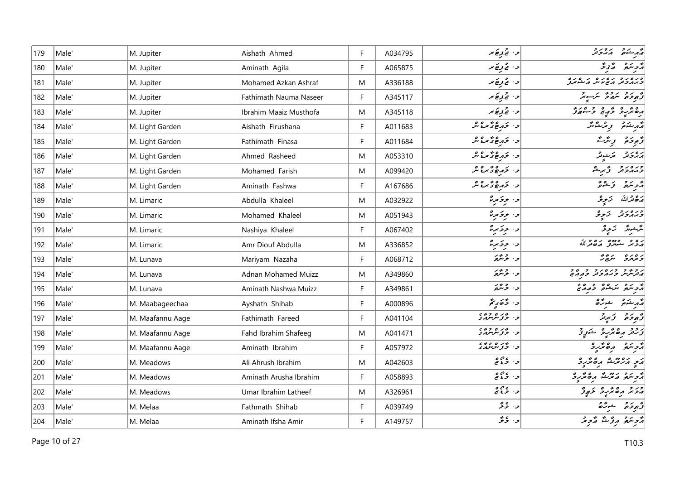| 179 | Male' | M. Jupiter       | Aishath Ahmed              | F           | A034795 | ح بحج بح مر                     | برور و<br>لقرمر ينتمو                                        |
|-----|-------|------------------|----------------------------|-------------|---------|---------------------------------|--------------------------------------------------------------|
| 180 | Male' | M. Jupiter       | Aminath Agila              | F           | A065875 | و· في وِيحَ مر                  | ۇجەسىرە ئەتبەق                                               |
| 181 | Male' | M. Jupiter       | Mohamed Azkan Ashraf       | M           | A336188 | و· في وِيعَ مر                  | ورەر د رەر 2 رەرە<br><i>دېرم</i> وتر م <i>ەن بىل م</i> ەشىرى |
| 182 | Male' | M. Jupiter       | Fathimath Nauma Naseer     | $\mathsf F$ | A345117 | و· في وِيعَ مر                  | و و د د د و مرد بر                                           |
| 183 | Male' | M. Jupiter       | Ibrahim Maaiz Musthofa     | ${\sf M}$   | A345118 | و· قي بوڪيمه                    |                                                              |
| 184 | Male' | M. Light Garden  | Aishath Firushana          | F.          | A011683 | د كمرونو مولا                   | ۇرىشقى رېمىقىگە                                              |
| 185 | Male' | M. Light Garden  | Fathimath Finasa           | F           | A011684 | د· كەرھۇمما تىر                 | ؤودة ويثبة                                                   |
| 186 | Male' | M. Light Garden  | Ahmed Rasheed              | M           | A053310 | د· <sub>م</sub> حمده و محمده مر | رەر دىكىسىد                                                  |
| 187 | Male' | M. Light Garden  | Mohamed Farish             | M           | A099420 | و· ځه څو څو شو                  | ورەرو گىرىش                                                  |
| 188 | Male' | M. Light Garden  | Aminath Fashwa             | F.          | A167686 | اه موره ومحده مع                | أزويتهم وكسفاة                                               |
| 189 | Male' | M. Limaric       | Abdulla Khaleel            | M           | A032922 | د· وِدَبرِنا                    | 505 الله ترمو ع                                              |
| 190 | Male' | M. Limaric       | Mohamed Khaleel            | M           | A051943 |                                 | ورەر يې زېږ                                                  |
| 191 | Male' | M. Limaric       | Nashiya Khaleel            | F           | A067402 | د· وِدَ مِهْ                    | لترجيتر الكالمحي                                             |
| 192 | Male' | M. Limaric       | Amr Diouf Abdulla          | M           | A336852 | د· وِدَ مِهْ                    | ره و ودوه ره و الله<br>محرمه شعرو مصرف                       |
| 193 | Male' | M. Lunava        | Mariyam Nazaha             | F           | A068712 | وستحيضى                         | رەرە شەپ                                                     |
| 194 | Male' | M. Lunava        | <b>Adnan Mohamed Muizz</b> | M           | A349860 | وستحيضى                         | ג כש כ כג מכ כ ס כ<br>הבניינייג כ מחכב ב הח ב                |
| 195 | Male' | M. Lunava        | Aminath Nashwa Muizz       | F.          | A349861 | وستحيضى                         | הכתב תשים בגרש                                               |
| 196 | Male' | M. Maabageechaa  | Ayshath Shihab             | $\mathsf F$ | A000896 | و· وٌَ صَوۡمَوۡ                 | و<br>وگرېشو شوگره                                            |
| 197 | Male' | M. Maafannu Aage | Fathimath Fareed           | F           | A041104 | و به محرّ و و و و و             | وٌجوحَمٌ وَمَرِيْرٌ                                          |
| 198 | Male' | M. Maafannu Aage | Fahd Ibrahim Shafeeg       | M           | A041471 | و. و و و و و و و                | ر دو مه پره ځېږ                                              |
| 199 | Male' | M. Maafannu Aage | Aminath Ibrahim            | F           | A057972 | و. ژوکرسرمره                    | أزدينه مقتررة                                                |
| 200 | Male' | M. Meadows       | Ali Ahrush Ibrahim         | M           | A042603 | $rac{0.06}{0.06}$               | ג׳בְ ג׳ינים גם ג׳יב                                          |
| 201 | Male' | M. Meadows       | Aminath Arusha Ibrahim     | F           | A058893 | $600 - 7$                       | أأدمره المرشق المقابل و                                      |
| 202 | Male' | M. Meadows       | Umar Ibrahim Latheef       | M           | A326961 | 886.77                          | גביג גם הייך ביתר                                            |
| 203 | Male' | M. Melaa         | Fathmath Shihab            | F           | A039749 | و٠ وگ                           | رٌ و دَ وَ شررٌ صَ                                           |
| 204 | Male' | M. Melaa         | Aminath Ifsha Amir         | F           | A149757 | و٠ وگ                           | أأدمرة أروائة أأدبر                                          |
|     |       |                  |                            |             |         |                                 |                                                              |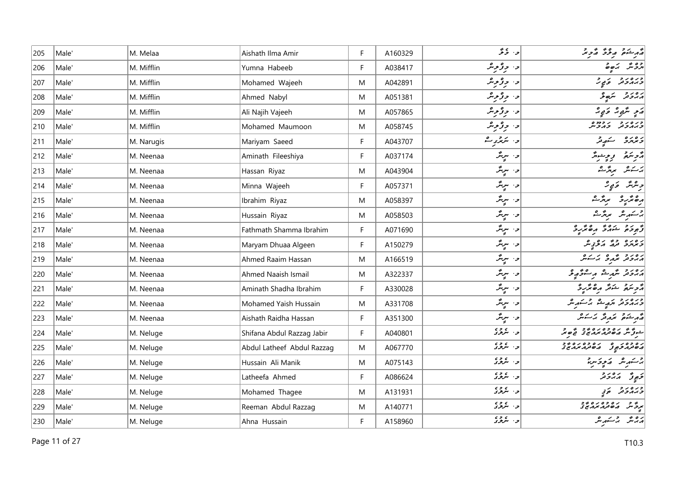| 205 | Male' | M. Melaa   | Aishath Ilma Amir          | $\mathsf F$ | A160329 | و٠ وَوَ                 |                                                                                                                                                                                                                                  |
|-----|-------|------------|----------------------------|-------------|---------|-------------------------|----------------------------------------------------------------------------------------------------------------------------------------------------------------------------------------------------------------------------------|
| 206 | Male' | M. Mifflin | Yumna Habeeb               | E           | A038417 | د· دِوْدِيْر            | أتروش برَهِ جُ                                                                                                                                                                                                                   |
| 207 | Male' | M. Mifflin | Mohamed Wajeeh             | M           | A042891 | <sub>و: ح</sub> وثوبتر  | ورەر دې                                                                                                                                                                                                                          |
| 208 | Male' | M. Mifflin | Ahmed Nabyl                | M           | A051381 | د· دِوْدِيْر            | رەرو شھۇ                                                                                                                                                                                                                         |
| 209 | Male' | M. Mifflin | Ali Najih Vajeeh           | M           | A057865 | د· دِرْدِشْ             | ړې شور نور                                                                                                                                                                                                                       |
| 210 | Male' | M. Mifflin | Mohamed Maumoon            | M           | A058745 | د· دِوْدِش              | כנסנכ נכחים<br>כגובת בגבית                                                                                                                                                                                                       |
| 211 | Male' | M. Narugis | Mariyam Saeed              | F           | A043707 | د. مگرچر <sup>م</sup> م | و دره در د                                                                                                                                                                                                                       |
| 212 | Male' | M. Neenaa  | Aminath Fileeshiya         | F           | A037174 | د . سرینگر              |                                                                                                                                                                                                                                  |
| 213 | Male' | M. Neenaa  | Hassan Riyaz               | M           | A043904 |                         | ىر كەش بىر ئەرگ                                                                                                                                                                                                                  |
| 214 | Male' | M. Neenaa  | Minna Wajeeh               | F           | A057371 |                         | وِ عربتَر   اوَ وِ رَ                                                                                                                                                                                                            |
| 215 | Male' | M. Neenaa  | Ibrahim Riyaz              | M           | A058397 |                         | وەتمرۇ بورگ                                                                                                                                                                                                                      |
| 216 | Male' | M. Neenaa  | Hussain Riyaz              | M           | A058503 |                         | جر کے مرکز مرکز کے مقدمت کے ایک مرکز کے مقدمت کے مقدمت کے مقدمت کے مقدمت کے مقدمت کے مقدمت کے مقدمت کے مقدمت ک<br>مقدمت اللہ مقدم اللہ مقدمت کے مقدمت کے مقدمت کے مقدمت کے مقدمت کے مقدمت کے مقدمت کے مقدمت کے مقدمت کے مقدمت کے |
| 217 | Male' | M. Neenaa  | Fathmath Shamma Ibrahim    | F           | A071690 | او. سرچگر<br>ڪ          |                                                                                                                                                                                                                                  |
| 218 | Male' | M. Neenaa  | Maryam Dhuaa Algeen        | F           | A150279 | و. سریگر                |                                                                                                                                                                                                                                  |
| 219 | Male' | M. Neenaa  | Ahmed Raaim Hassan         | M           | A166519 |                         | ره رو و ه د بر ره                                                                                                                                                                                                                |
| 220 | Male' | M. Neenaa  | <b>Ahmed Naaish Ismail</b> | M           | A322337 |                         | גיגב האגיי <sub>ק</sub> יינ <sub>קיי</sub>                                                                                                                                                                                       |
| 221 | Male' | M. Neenaa  | Aminath Shadha Ibrahim     | F           | A330028 | او. سرپنگر<br><u>ڪ</u>  | أأتا والله المتحر والمتحرير والمحرير والمحرير والمحر                                                                                                                                                                             |
| 222 | Male' | M. Neenaa  | Mohamed Yaish Hussain      | M           | A331708 | او. سرچ<br>——           | ورەرو كەربى ئەسكەش                                                                                                                                                                                                               |
| 223 | Male' | M. Neenaa  | Aishath Raidha Hassan      | F           | A351300 | او. سرچمه<br>——         | مەر شىم ئىرىگە ئەسكىل                                                                                                                                                                                                            |
| 224 | Male' | M. Neluge  | Shifana Abdul Razzaq Jabir | $\mathsf F$ | A040801 | و . عرو ،               | شور می دره ده دره دوره می در<br>شور شر می فرم مرمرخ داده می                                                                                                                                                                      |
| 225 | Male' | M. Neluge  | Abdul Latheef Abdul Razzag | M           | A067770 | و . عرو ،               | נסכסנם נסכסנסיבים<br>הסטה תקצם הסטה מה בצ                                                                                                                                                                                        |
| 226 | Male' | M. Neluge  | Hussain Ali Manik          | M           | A075143 | و، شروء                 | يزعتهر مكافية والمراريح                                                                                                                                                                                                          |
| 227 | Male' | M. Neluge  | Latheefa Ahmed             | F           | A086624 | و، شروء                 | تجبج ومالا المتحافر                                                                                                                                                                                                              |
| 228 | Male' | M. Neluge  | Mohamed Thagee             | M           | A131931 |                         | وره ر و مر<br>  <i>و بر مرح</i> قر                                                                                                                                                                                               |
| 229 | Male' | M. Neluge  | Reeman Abdul Razzag        | M           | A140771 | و، شروء                 | 22010201 22<br>תליית הסנגיגה בצ                                                                                                                                                                                                  |
| 230 | Male' | M. Neluge  | Ahna Hussain               | F           | A158960 | و، شروء                 | رەپر برخىرىر                                                                                                                                                                                                                     |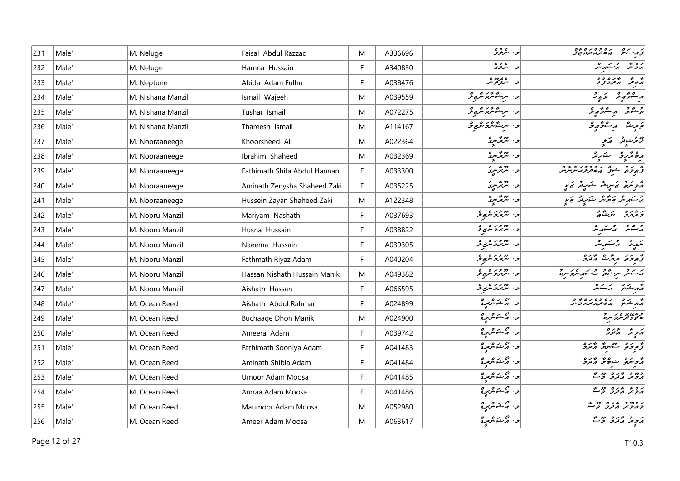| 231 | Male' | M. Neluge         | Faisal Abdul Razzaq          | M           | A336696 | و . شرو ،                                | ق برو ده ده ده ده                                    |
|-----|-------|-------------------|------------------------------|-------------|---------|------------------------------------------|------------------------------------------------------|
| 232 | Male' | M. Neluge         | Hamna Hussain                | E           | A340830 |                                          | رەپر روسى                                            |
| 233 | Male' | M. Neptune        | Abida Adam Fulhu             | F           | A038476 | ه وروده<br>د سرونموس                     | ه می دره د د<br>می شرور                              |
| 234 | Male' | M. Nishana Manzil | Ismail Wajeeh                | M           | A039559 | ى . سرىشە <i>ئەر شى</i> ئى               | بر شۇ پەشقا ئۇ ئاي                                   |
| 235 | Male' | M. Nishana Manzil | Tushar Ismail                | M           | A072275 | ى سرىشە ئىركە ئىرىم ئى                   | ەھقىر بەستۇپچ                                        |
| 236 | Male' | M. Nishana Manzil | Thareesh Ismail              | M           | A114167 | ر. سرىشترىز تىرىم ئى                     | ە پرىش بەسىۋېرى                                      |
| 237 | Male' | M. Nooraaneege    | Khoorsheed Ali               | M           | A022364 | - مرتزمبره                               |                                                      |
| 238 | Male' | M. Nooraaneege    | Ibrahim Shaheed              | M           | A032369 | <br> و۰ مریم سریم                        | رە ئرىر ئىسىر                                        |
| 239 | Male' | M. Nooraaneege    | Fathimath Shifa Abdul Hannan | F           | A033300 | ى بەرگە ئېرىدى<br>مەنبەر                 | و د د مشور ده ده ده ده.<br>تروخو شور ماه مرد با مرکز |
| 240 | Male' | M. Nooraaneege    | Aminath Zenysha Shaheed Zaki | F           | A035225 |                                          | قُرْحِ سَمْعٌ وَسَمِيعٌ مُشَرِيدٌ لَمْ يَا لِلْمَ    |
| 241 | Male' | M. Nooraaneege    | Hussein Zayan Shaheed Zaki   | M           | A122348 | ى بىر ئىقتىلىدىكى<br>مەنبەر ئىقتىلىنىڭ   | ج ڪريگر ٽاگريگر ڪريگر ٿئي                            |
| 242 | Male' | M. Nooru Manzil   | Mariyam Nashath              | F           | A037693 | د . مر <sub>م</sub> رد م <sub>رم</sub> و | رەرە سَرْشُمْ ج                                      |
| 243 | Male' | M. Nooru Manzil   | Husna Hussain                | F           | A038822 | ر. تربرد مرب <sub>و</sub> د              | ر شاعر استقرار می                                    |
| 244 | Male' | M. Nooru Manzil   | Naeema Hussain               | F           | A039305 | د به مر <sub>مرد شریح</sub>              | ىئىر قەستىرىش                                        |
| 245 | Male' | M. Nooru Manzil   | Fathmath Riyaz Adam          | F           | A040204 | و . مربرو تربح و                         | وتجوده برتز شرود                                     |
| 246 | Male' | M. Nooru Manzil   | Hassan Nishath Hussain Manik | M           | A049382 | د . بيرونر شي په                         | ىركىگە ئىرىشكە ئ <sup>ە</sup> كسەر ئىرىدە            |
| 247 | Male' | M. Nooru Manzil   | Aishath Hassan               | F           | A066595 | د. نژیزد مربح و                          | ۇرمىشقى ئەسكەش                                       |
| 248 | Male' | M. Ocean Reed     | Aishath Abdul Rahman         | F           | A024899 | -<br>د . د شوکرمړنې                      | ه د د ده ده ده د و<br>۱. ۱۸ شوه د ه تر ۱۸ کرد تر     |
| 249 | Male' | M. Ocean Reed     | <b>Buchaage Dhon Manik</b>   | M           | A024900 | $\frac{1}{2}$                            | כ וממיד ם ז<br>כם זם ב בקייקודי ייקוד                |
| 250 | Male' | M. Ocean Reed     | Ameera Adam                  | F           | A039742 | ى مەككەنگىرى<br>مەنبۇرىسىتىرى            | ړَ په په پره                                         |
| 251 | Male' | M. Ocean Reed     | Fathimath Sooniya Adam       | $\mathsf F$ | A041483 | و. د شور همبر ؟                          | وٌجودَهُ کشهر مُنددُ                                 |
| 252 | Male' | M. Ocean Reed     | Aminath Shibla Adam          | F           | A041484 | ح به مركز شركيږ ؟                        | أأدبره شركة أأرده                                    |
| 253 | Male' | M. Ocean Reed     | Umoor Adam Moosa             | F           | A041485 | ا د . م شو مرد مرد د .<br>ا              | כמב הנס מגור<br>הכית העב בגו                         |
| 254 | Male' | M. Ocean Reed     | Amraa Adam Moosa             | F           | A041486 | -<br>حسين مشاهر محمد معر                 | ره په پره دو په<br>مرح کر مرکز و ک                   |
| 255 | Male' | M. Ocean Reed     | Maumoor Adam Moosa           | M           | A052980 | - مىشكىرى<br>مەنبۇرىسى                   | ג בחבר בגם חבר.<br>בגביב הבגב ב                      |
| 256 | Male' | M. Ocean Reed     | Ameer Adam Moosa             | M           | A063617 | د . گرېشمېر ؟                            | پر پر پر پره دونه                                    |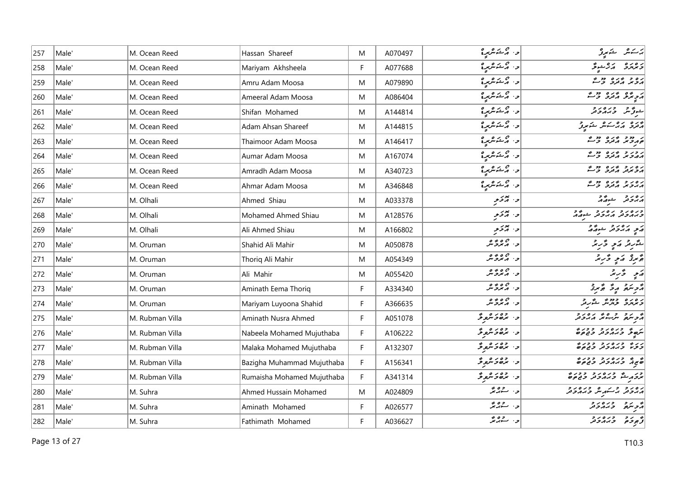| 257 | Male' | M. Ocean Reed   | Hassan Shareef             | M           | A070497 | د . مر شه مرسم و هم                 | پرستانلر استعلیزی                             |
|-----|-------|-----------------|----------------------------|-------------|---------|-------------------------------------|-----------------------------------------------|
| 258 | Male' | M. Ocean Reed   | Mariyam Akhsheela          | $\mathsf F$ | A077688 | -<br>حسين مشتر مشرحيد في            | د ۱۵ د مړي شونځ                               |
| 259 | Male' | M. Ocean Reed   | Amru Adam Moosa            | M           | A079890 | - مىشكىتىلىرى<br>مەسكەتلىرى         | גם כ" בגם יכובי.<br>גביג געבי ביי             |
| 260 | Male' | M. Ocean Reed   | Ameeral Adam Moosa         | M           | A086404 | $\sqrt{2.226 \times 2.7}$           | أربا والمحمدة المحمد والمستح                  |
| 261 | Male' | M. Ocean Reed   | Shifan Mohamed             | M           | A144814 | $ e, \overbrace{g} = \overbrace{g}$ | جوگر وره دو                                   |
| 262 | Male' | M. Ocean Reed   | Adam Ahsan Shareef         | M           | A144815 | ى ئەسىئەتىرىيە قى                   | وره رو رو هر خریز                             |
| 263 | Male' | M. Ocean Reed   | Thaimoor Adam Moosa        | M           | A146417 | د <sub>ن</sub> مر شه مر مر و        | ן חבר זינים חבי                               |
| 264 | Male' | M. Ocean Reed   | Aumar Adam Moosa           | M           | A167074 | ى ئەسكەتلىرى                        | ג בג ב בגם נביב.<br>גבה בית התהב ב            |
| 265 | Male' | M. Ocean Reed   | Amradh Adam Moosa          | M           | A340723 | ى ئەسىئەتىرىيە قى                   | גם גב בגם כבית.<br>גב גם, גם, כ               |
| 266 | Male' | M. Ocean Reed   | Ahmar Adam Moosa           | M           | A346848 | ح کا میک مشریع پا<br>م              | ג סגב יינים כבילי<br>הגביג הבקב בילי          |
| 267 | Male' | M. Olhali       | Ahmed Shiau                | M           | A033378 | ار، چرې<br>ا                        | أرور ومشرور                                   |
| 268 | Male' | M. Olhali       | Mohamed Ahmed Shiau        | M           | A128576 | احز أنزعمت                          | כנסנכ נסנכ<br>כמתכת המכת המה                  |
| 269 | Male' | M. Olhali       | Ali Ahmed Shiau            | M           | A166802 | - پرنمو                             | ג'ב ג'ביב לינגר                               |
| 270 | Male' | M. Oruman       | Shahid Ali Mahir           | M           | A050878 | ە دە بەرە<br>د . م. بىر تەش         | شريرة وأباج ومربر                             |
| 271 | Male' | M. Oruman       | Thoriq Ali Mahir           | M           | A054349 | ە مەمەم<br>د ، مەمەمە               | وحجمير فالمحموج ومحرير                        |
| 272 | Male' | M. Oruman       | Ali Mahir                  | M           | A055420 | ە دە بور<br>د . مەنزلى ش            | ەي ۋرىژ                                       |
| 273 | Male' | M. Oruman       | Aminath Eema Thoriq        | F           | A334340 | ە دە بور<br>د . مەنزلى ش            | أأوسكم ووالمحمور                              |
| 274 | Male' | M. Oruman       | Mariyam Luyoona Shahid     | F           | A366635 | د . م. پروتر                        | ره ده دود شکرید                               |
| 275 | Male' | M. Rubman Villa | Aminath Nusra Ahmed        | F           | A051078 | و· برھ تر سمبر تر                   | ړو شه ه سر په ره د د                          |
| 276 | Male' | M. Rubman Villa | Nabeela Mohamed Mujuthaba  | F           | A106222 | و. برەد سىمە ئە                     | شهر وره دودره                                 |
| 277 | Male' | M. Rubman Villa | Malaka Mohamed Mujuthaba   | F           | A132307 | د . برەد سرو د                      | נגל כנסגפ כבנד<br>כבע כגובת כבסים             |
| 278 | Male' | M. Rubman Villa | Bazigha Muhammad Mujuthaba | F.          | A156341 | د . بر <i>ەد ئىبو</i> مۇ            | گې تر دره د د دره<br>گې تر د پر د د د ده ده   |
| 279 | Male' | M. Rubman Villa | Rumaisha Mohamed Mujuthaba | F           | A341314 | و· برھ تر سمبر تر                   |                                               |
| 280 | Male' | M. Suhra        | Ahmed Hussain Mohamed      | M           | A024809 | د . سەپرىتر                         | ره رو د حسور وره رو<br>مدوند رئستور شد وبرمان |
| 281 | Male' | M. Suhra        | Aminath Mohamed            | F           | A026577 | د . سەپرىتر                         | ת היה הייניה<br>תבייטת בהתכת                  |
| 282 | Male' | M. Suhra        | Fathimath Mohamed          | F           | A036627 | د . سەپرىتر                         | أوجود وره دو                                  |
|     |       |                 |                            |             |         |                                     |                                               |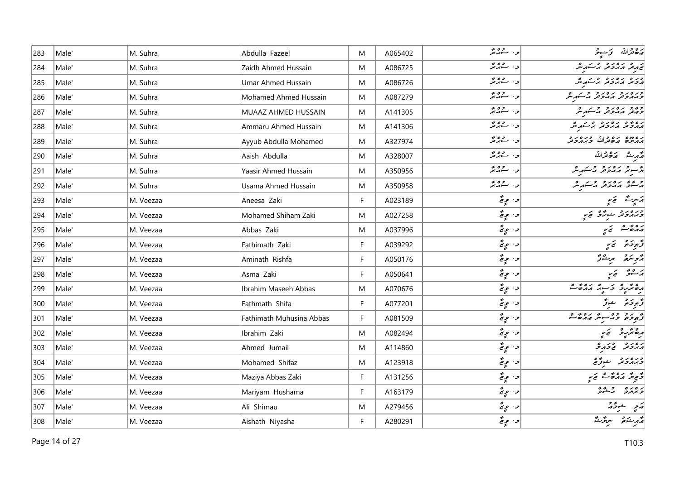| 283 | Male' | M. Suhra  | Abdulla Fazeel            | M  | A065402 | ى سەرىخە     | أشڪ مرالله ترسيځه                                                                                                                                                                                                      |
|-----|-------|-----------|---------------------------|----|---------|--------------|------------------------------------------------------------------------------------------------------------------------------------------------------------------------------------------------------------------------|
| 284 | Male' | M. Suhra  | Zaidh Ahmed Hussain       | M  | A086725 | د . سنگرنگر  | ى مەس مەر دىن بار مىسكى                                                                                                                                                                                                |
| 285 | Male' | M. Suhra  | <b>Umar Ahmed Hussain</b> | M  | A086726 | و، سىنمىگە   | ور و ره رو و د کره                                                                                                                                                                                                     |
| 286 | Male' | M. Suhra  | Mohamed Ahmed Hussain     | M  | A087279 | و، سىنمىگە   | ورەر د رەرد د رم                                                                                                                                                                                                       |
| 287 | Male' | M. Suhra  | MUAAZ AHMED HUSSAIN       | M  | A141305 | د . سنگریمگ  | ووو رورو ورکه تر                                                                                                                                                                                                       |
| 288 | Male' | M. Suhra  | Ammaru Ahmed Hussain      | M  | A141306 | و، سەپرىر    | גם גם גם גב בגורה.<br>ההכת הגבת גבוהית                                                                                                                                                                                 |
| 289 | Male' | M. Suhra  | Ayyub Abdulla Mohamed     | M  | A327974 | د . سترچمه   | ره دده بره د <sub>الله</sub> وبره بر د<br><i>مم</i> مرده مه فرالله وبرمر تر                                                                                                                                            |
| 290 | Male' | M. Suhra  | Aaish Abdulla             | M  | A328007 | د . ستريمه   | صَّمتْ صَصْعَرَاللَّه                                                                                                                                                                                                  |
| 291 | Male' | M. Suhra  | Yaasir Ahmed Hussain      | M  | A350956 | و، سەپرىتر   | و ده دره در و در در شور ش                                                                                                                                                                                              |
| 292 | Male' | M. Suhra  | Usama Ahmed Hussain       | M  | A350958 | و، سەپرىتر   | ړ څخه رورو و خپر                                                                                                                                                                                                       |
| 293 | Male' | M. Veezaa | Aneesa Zaki               | F  | A023189 | و· وٍيَّ     | أرسرت تمي                                                                                                                                                                                                              |
| 294 | Male' | M. Veezaa | Mohamed Shiham Zaki       | M  | A027258 | او .<br>مونج | ورەرو جوڭۇ ئ                                                                                                                                                                                                           |
| 295 | Male' | M. Veezaa | Abbas Zaki                | M  | A037996 | و· وِيٌّ     |                                                                                                                                                                                                                        |
| 296 | Male' | M. Veezaa | Fathimath Zaki            | F  | A039292 | و· وِجٌ      | و محمد من المحمد المحمد المحمد المحمد المحمد المحمد المحمد المحمد المحمد المحمد المحمد المحمد المحمد<br>المحمد المحمد المحمد المحمد المحمد المحمد المحمد المحمد المحمد المحمد المحمد المحمد المحمد المحمد المحمد المحم |
| 297 | Male' | M. Veezaa | Aminath Rishfa            | F  | A050176 | و· وِجٌ      | أأدوسكم المراشوق                                                                                                                                                                                                       |
| 298 | Male' | M. Veezaa | Asma Zaki                 | F  | A050641 | وا ويح       | $\frac{1}{2}$                                                                                                                                                                                                          |
| 299 | Male' | M. Veezaa | Ibrahim Maseeh Abbas      | M  | A070676 | و· وِيَّ     | COXIS C- C CCOLO                                                                                                                                                                                                       |
| 300 | Male' | M. Veezaa | Fathmath Shifa            | F  | A077201 | و· وٍجٌ      | قەم ئەقتى ئىسىسى ئىس                                                                                                                                                                                                   |
| 301 | Male' | M. Veezaa | Fathimath Muhusina Abbas  | F. | A081509 | و· وِجٌ      | و د د ده سر ده ده و                                                                                                                                                                                                    |
| 302 | Male' | M. Veezaa | Ibrahim Zaki              | M  | A082494 | و· وٍيَّ     | $\frac{1}{2}$                                                                                                                                                                                                          |
| 303 | Male' | M. Veezaa | Ahmed Jumail              | M  | A114860 | و· وٍجٌ      |                                                                                                                                                                                                                        |
| 304 | Male' | M. Veezaa | Mohamed Shifaz            | M  | A123918 | و· وِجٌ      | ورەر د شورٌ ج                                                                                                                                                                                                          |
| 305 | Male' | M. Veezaa | Maziya Abbas Zaki         | F  | A131256 | و· وِجٌ      | ومجمد وره معظم من                                                                                                                                                                                                      |
| 306 | Male' | M. Veezaa | Mariyam Hushama           | F  | A163179 | و· وِجٌ      | رەرە يەشكى                                                                                                                                                                                                             |
| 307 | Male' | M. Veezaa | Ali Shimau                | M  | A279456 | و· وِجَ      | ړې شرگړ                                                                                                                                                                                                                |
| 308 | Male' | M. Veezaa | Aishath Niyasha           | F  | A280291 | و· وِجٌ      | وگەرشىقى سىرگىشە                                                                                                                                                                                                       |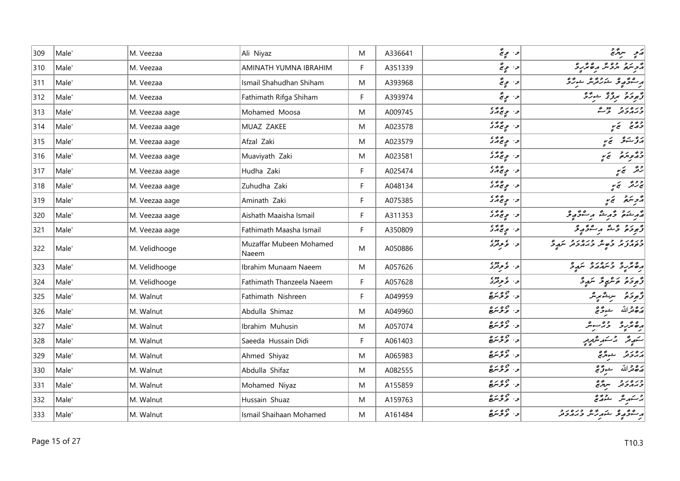| 309 | Male' | M. Veezaa      | Ali Niyaz                        | M         | A336641 | و· وِجٌ                         |                                                                |
|-----|-------|----------------|----------------------------------|-----------|---------|---------------------------------|----------------------------------------------------------------|
| 310 | Male' | M. Veezaa      | AMINATH YUMNA IBRAHIM            | F         | A351339 | و· وِجٌ                         | ו גד בסת תסתיב                                                 |
| 311 | Male' | M. Veezaa      | Ismail Shahudhan Shiham          | ${\sf M}$ | A393968 | و· وِيَّ                        | ر جۇرگى خەرتۇش خەرگ                                            |
| 312 | Male' | M. Veezaa      | Fathimath Rifga Shiham           | F         | A393974 | و· وٍیٌ                         | وَجَعِدَةَ بِرَوْتَى حَدِيدَةَ                                 |
| 313 | Male' | M. Veezaa aage | Mohamed Moosa                    | M         | A009745 | و٠ وٍ ۽ ۾ ۽                     | ورەر دور                                                       |
| 314 | Male' | M. Veezaa aage | MUAZ ZAKEE                       | M         | A023578 | و٠ وړۀ دی                       | $\begin{bmatrix} 2 & 2 & 3 & 3 \\ 2 & 2 & 3 & 3 \end{bmatrix}$ |
| 315 | Male' | M. Veezaa aage | Afzal Zaki                       | M         | A023579 | و٠ وٍ ع٨و ٢                     | رە بەي<br>مۇسكو ئىم                                            |
| 316 | Male' | M. Veezaa aage | Muaviyath Zaki                   | M         | A023581 | و . م <sub>و</sub> نځ پر د      | congress                                                       |
| 317 | Male' | M. Veezaa aage | Hudha Zaki                       | F         | A025474 | و . م <sub>و</sub> نځ پر د      | جنگر سچ پیر                                                    |
| 318 | Male' | M. Veezaa aage | Zuhudha Zaki                     | F         | A048134 | و . م <sub>و</sub> نځ پر د      | ح ج ج م<br> مح س <sup>2</sup> سم مح                            |
| 319 | Male' | M. Veezaa aage | Aminath Zaki                     | F         | A075385 | و· وٍیٌمرٌ ک                    | ومحر وسنتج والمحاسبة                                           |
| 320 | Male' | M. Veezaa aage | Aishath Maaisha Ismail           | F         | A311353 | و۰ موځه دي                      | ورمنتم ورمشه رمعور                                             |
| 321 | Male' | M. Veezaa aage | Fathimath Maasha Ismail          | F         | A350809 | و٠ وڅرنو                        | ۇۋەق ۋىش رەھۇرو                                                |
| 322 | Male' | M. Velidhooge  | Muzaffar Mubeen Mohamed<br>Naeem | M         | A050886 | و . ځ پووه<br>و . ځ پولوی       | ورەر د دە ھەر دىرەر ئىرگە                                      |
| 323 | Male' | M. Velidhooge  | Ibrahim Munaam Naeem             | M         | A057626 | د ۱۰ کارودی<br>  د ۱۰ کارمونوری | مەئرىدە دىرەرە سەر                                             |
| 324 | Male' | M. Velidhooge  | Fathimath Thanzeela Naeem        | F         | A057628 |                                 | رًّمُ وَ وَ وَ سُمِعٍ وَ سَمِرٍ وَ                             |
| 325 | Male' | M. Walnut      | Fathimath Nishreen               | F         | A049959 | و . ه و يره                     | ژُهِ دَهُ سَرَ شَهْرِ سُر                                      |
| 326 | Male' | M. Walnut      | Abdulla Shimaz                   | M         | A049960 | و . ه و يره                     | برة قرالله<br>شەرگە تح                                         |
| 327 | Male' | M. Walnut      | Ibrahim Muhusin                  | ${\sf M}$ | A057074 | ە بە ھەرھ                       | رەنۇرو دەسىر                                                   |
| 328 | Male' | M. Walnut      | Saeeda Hussain Didi              | F         | A061403 | و . ه و يره                     | سەرپەئىل سىكەر ئىزىرىدىر                                       |
| 329 | Male' | M. Walnut      | Ahmed Shiyaz                     | ${\sf M}$ | A065983 | و . ه و يره                     | ر ۲ در در در ۵۶<br> دبروتر شواریخ                              |
| 330 | Male' | M. Walnut      | Abdulla Shifaz                   | M         | A082555 | و . ه و پره                     | ەھەراللە<br>شووگړ <i>ی</i><br>مر                               |
| 331 | Male' | M. Walnut      | Mohamed Niyaz                    | M         | A155859 | ە دەرە<br>د گەنگىنى             | כנסנכ יטתה                                                     |
| 332 | Male' | M. Walnut      | Hussain Shuaz                    | M         | A159763 | و . هو دره                      | چرىكى ھەم ئەرگەن كە                                            |
| 333 | Male' | M. Walnut      | Ismail Shaihaan Mohamed          | M         | A161484 | و . ه و دره                     | ر قوم و شهر شهر ورور د                                         |
|     |       |                |                                  |           |         |                                 |                                                                |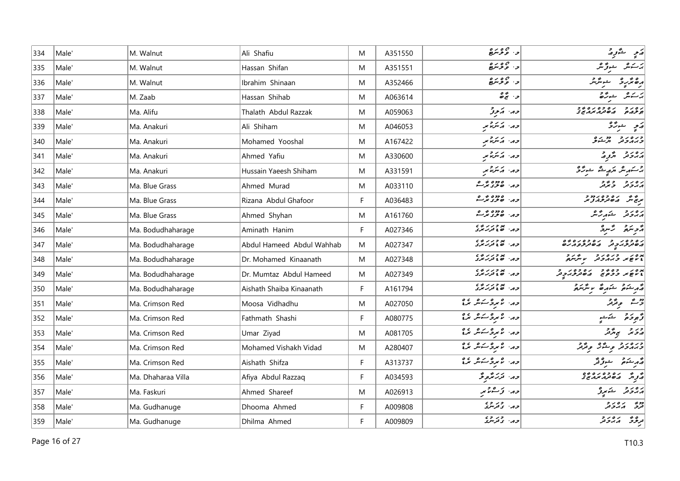| 334 | Male' | M. Walnut          | Ali Shafiu                | M         | A351550 | و . ه و پره                               | ړې شرور                                                    |
|-----|-------|--------------------|---------------------------|-----------|---------|-------------------------------------------|------------------------------------------------------------|
| 335 | Male' | M. Walnut          | Hassan Shifan             | ${\sf M}$ | A351551 | و. هو شرچ                                 | بركاش جوز شر                                               |
| 336 | Male' | M. Walnut          | Ibrahim Shinaan           | M         | A352466 | و . ه و يره                               | رەتزىر ئىشرى                                               |
| 337 | Male' | M. Zaab            | Hassan Shihab             | M         | A063614 | و· نج ھ                                   | بركسكس المركزة                                             |
| 338 | Male' | Ma. Alifu          | Thalath Abdul Razzak      | M         | A059063 | در. رَوِرْ                                | נ סני כי נספט בירי<br>הציבותים נגישינות יבות ביצ           |
| 339 | Male' | Ma. Anakuri        | Ali Shiham                | M         | A046053 | حدس مأسرة مر                              | أركمو المسورجو                                             |
| 340 | Male' | Ma. Anakuri        | Mohamed Yooshal           | M         | A167422 | دە بە ئەترىق <sub>ى</sub> ر               | ورەر دەررە<br><i>دىد</i> روىر برىشكى                       |
| 341 | Male' | Ma. Anakuri        | Ahmed Yafiu               | M         | A330600 | حەر، ئەس <i>ىرىدى</i> م                   | د ۱۵ د په د                                                |
| 342 | Male' | Ma. Anakuri        | Hussain Yaeesh Shiham     | ${\sf M}$ | A331591 | حدس مأسكرة بر                             | ج ڪرچ گرم ڪي ڪرچ                                           |
| 343 | Male' | Ma. Blue Grass     | Ahmed Murad               | M         | A033110 | ه دره وره و ه<br>در ۰ ه مور تر ۲          | ره رح و در<br>پرکار و ترکر                                 |
| 344 | Male' | Ma. Blue Grass     | Rizana Abdul Ghafoor      | F         | A036483 | ەدە بەھ تەرە<br>تەر، ئەمەم تەرىپ          | پر پره ده ده ده د<br>برې س پر صور د بر                     |
| 345 | Male' | Ma. Blue Grass     | Ahmed Shyhan              | ${\sf M}$ | A161760 | ە دە ئەھەر ئە                             | ەرە خەرشى                                                  |
| 346 | Male' | Ma. Bodudhaharage  | Aminath Hanim             | F         | A027346 | پر د بر د د د<br>وړ ۰ ځه ترر برو          | ومحر وسنرو ومحسره                                          |
| 347 | Male' | Ma. Bodudhaharage  | Abdul Hameed Abdul Wahhab | M         | A027347 | ر پر در در<br>در ه د ترر پرد              | ג ס כ ס ג כ ב ג ס כ ס ג ס שים<br>הם בגיב ב ב הם בגיב פ הגם |
| 348 | Male' | Ma. Bodudhaharage  | Dr. Mohamed Kinaanath     | M         | A027348 | پر در دره در<br>وړ ۰ ه د تر <i>ر بر</i> د |                                                            |
| 349 | Male' | Ma. Bodudhaharage  | Dr. Mumtaz Abdul Hameed   | M         | A027349 | پر در در در<br>وړ . ځه ترر پرو            |                                                            |
| 350 | Male' | Ma. Bodudhaharage  | Aishath Shaiba Kinaanath  | F         | A161794 | پر در دره د<br>دړ . ځه ترر پرو            | ومرشو شروة برشتو                                           |
| 351 | Male' | Ma. Crimson Red    | Moosa Vidhadhu            | M         | A027050 | وړ٠ نامرو شکر مرو                         | دحمش وقرقر                                                 |
| 352 | Male' | Ma. Crimson Red    | Fathmath Shashi           | F         | A080775 | وړ٠ نامرو شمس مرو                         | أزودكم الحكامي                                             |
| 353 | Male' | Ma. Crimson Red    | Umar Ziyad                | M         | A081705 | دە. ئابرۇ خەش برغ                         | ەر ئەر ئەر                                                 |
| 354 | Male' | Ma. Crimson Red    | Mohamed Vishakh Vidad     | M         | A280407 | دە. ئابرۇسەش برغ                          | ورورو وحدٌ وترتر                                           |
| 355 | Male' | Ma. Crimson Red    | Aishath Shifza            | F         | A313737 | دړ٠ تا <sub>مر</sub> و کره مي و           | أمار مشكاها المسوفي                                        |
| 356 | Male' | Ma. Dhaharaa Villa | Afiya Abdul Razzaq        | F         | A034593 | وە · ترىرتوپوتى                           | Eza Losolog                                                |
| 357 | Male' | Ma. Faskuri        | Ahmed Shareef             | M         | A026913 | وە . ئۇسەم ئىر                            | رەرد شەرى<br>مەروىر شەيرى                                  |
| 358 | Male' | Ma. Gudhanuge      | Dhooma Ahmed              | F         | A009808 | כני "ז ביתי בי<br>כני "ז ביתי בי          | وده بره ر و<br>ترو بررو تر                                 |
| 359 | Male' | Ma. Gudhanuge      | Dhilma Ahmed              | F         | A009809 | و در دره<br><i>وه</i> ۰۰ و توسرو          | ترڅرڅ پره د د                                              |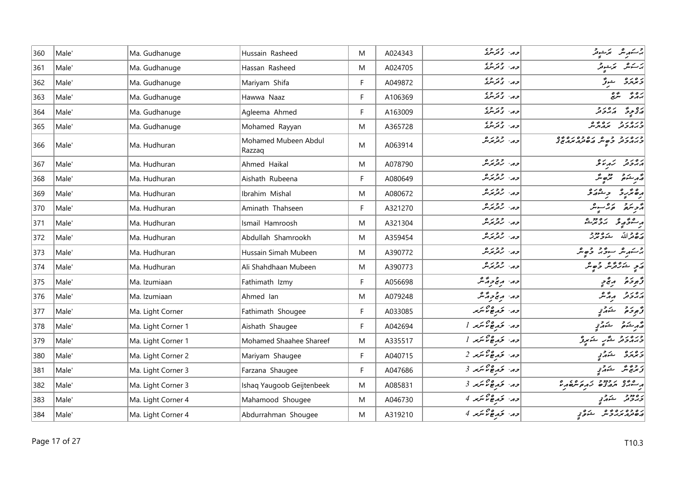| 360 | Male' | Ma. Gudhanuge      | Hussain Rasheed                | M  | A024343 | وړ ور ده                               | ر <i>ج سکه بلا</i> مرکز میگردید.<br>مرکز میران                                                                                             |
|-----|-------|--------------------|--------------------------------|----|---------|----------------------------------------|--------------------------------------------------------------------------------------------------------------------------------------------|
| 361 | Male' | Ma. Gudhanuge      | Hassan Rasheed                 | M  | A024705 | و در ده.<br>و د کورس                   | يُرْسَدُ مُرْسُومُر                                                                                                                        |
| 362 | Male' | Ma. Gudhanuge      | Mariyam Shifa                  | F  | A049872 | و در و در و ه<br>و در از کافرس         | د ۱۵ د وگر                                                                                                                                 |
| 363 | Male' | Ma. Gudhanuge      | Hawwa Naaz                     | F. | A106369 | و در ده.<br>و د کورس                   | رەپچ<br>سرچ                                                                                                                                |
| 364 | Male' | Ma. Gudhanuge      | Agleema Ahmed                  | F. | A163009 | ود کوروء<br>ود کورس                    | رە دۇر ئەرەر                                                                                                                               |
| 365 | Male' | Ma. Gudhanuge      | Mohamed Rayyan                 | M  | A365728 | ود وتروه                               | כנסנכ נסשם<br><i>כג</i> ובני <i>הו</i> ויי                                                                                                 |
| 366 | Male' | Ma. Hudhuran       | Mohamed Mubeen Abdul<br>Razzag | M  | A063914 | وړ رورړه                               | 2010 - 2020 - 2020 - 2020<br>2010 - 2020 - 2030 - 2040 - 2040 - 2040 - 2040 - 2040 - 2040 - 2040 - 2040 - 2040 - 2040 - 2040 - 2040 - 2040 |
| 367 | Male' | Ma. Hudhuran       | Ahmed Haikal                   | M  | A078790 | وړ رورپه                               | أبرجو بمرتكز                                                                                                                               |
| 368 | Male' | Ma. Hudhuran       | Aishath Rubeena                | F  | A080649 | وړ رورپه                               | ړ د شوه د هره مر                                                                                                                           |
| 369 | Male' | Ma. Hudhuran       | Ibrahim Mishal                 | M  | A080672 | وړ رتوبرنو                             | أرە ئۆر ئەر ئە                                                                                                                             |
| 370 | Male' | Ma. Hudhuran       | Aminath Thahseen               | F  | A321270 | وړ رتوبرنو                             | $\frac{1}{2}$                                                                                                                              |
| 371 | Male' | Ma. Hudhuran       | Ismail Hamroosh                | M  | A321304 | وړ رتوبرنگ                             | ر مؤرد بروده.                                                                                                                              |
| 372 | Male' | Ma. Hudhuran       | Abdullah Shamrookh             | M  | A359454 | وړ رورپه                               | رەقراللە خەم دەر                                                                                                                           |
| 373 | Male' | Ma. Hudhuran       | Hussain Simah Mubeen           | M  | A390772 | وړ رتوبرنگ                             | ج سکه شهر شده و د ه ش                                                                                                                      |
| 374 | Male' | Ma. Hudhuran       | Ali Shahdhaan Mubeen           | M  | A390773 | وړ رتوپژنگر                            | أرو شروعه و و محمد                                                                                                                         |
| 375 | Male' | Ma. Izumiaan       | Fathimath Izmy                 | F  | A056698 | בו. ושַבְרְיית                         | تزودخوا وجيحي                                                                                                                              |
| 376 | Male' | Ma. Izumiaan       | Ahmed Ian                      | M  | A079248 | בו. ו <sub>ב</sub> יבור <sub>י</sub> ת | برەرو مەھر                                                                                                                                 |
| 377 | Male' | Ma. Light Corner   | Fathimath Shougee              | F  | A033085 | ورب خروع متسلمه                        | أوالمحافظ والمستقر                                                                                                                         |
| 378 | Male' | Ma. Light Corner 1 | Aishath Shaugee                | F. | A042694 | ور. ځه ۱۳۵۳ تر بر ۱                    | لأمر يشكره ويتكرجني                                                                                                                        |
| 379 | Male' | Ma. Light Corner 1 | Mohamed Shaahee Shareef        | M  | A335517 | ور. ځه ۱۳۳۳ کرمر                       | وره رو څر ځمړ و                                                                                                                            |
| 380 | Male' | Ma. Light Corner 2 | Mariyam Shaugee                | F  | A040715 | $2$ בו בתַפּט מאת 2                    | أومهرو الشرور                                                                                                                              |
| 381 | Male' | Ma. Light Corner 3 | Farzana Shaugee                | F. | A047686 | در که ده ۲۳ سرگر 3                     | أز جريم مكر مشركتني                                                                                                                        |
| 382 | Male' | Ma. Light Corner 3 | Ishaq Yaugoob Geijtenbeek      | M  | A085831 | در که ۱۳۳۵ شهر 3                       | د مورد دورو زر ده ده د                                                                                                                     |
| 383 | Male' | Ma. Light Corner 4 | Mahamood Shougee               | M  | A046730 | در که ۱۳۵۵ سربر 4                      | د ه دو د از د و<br>  د بر د د سوړن <sub>ي</sub>                                                                                            |
| 384 | Male' | Ma. Light Corner 4 | Abdurrahman Shougee            | M  | A319210 | در نه دو ۱۳۵۵ سره 4                    | رە دەرە دەر بەھ                                                                                                                            |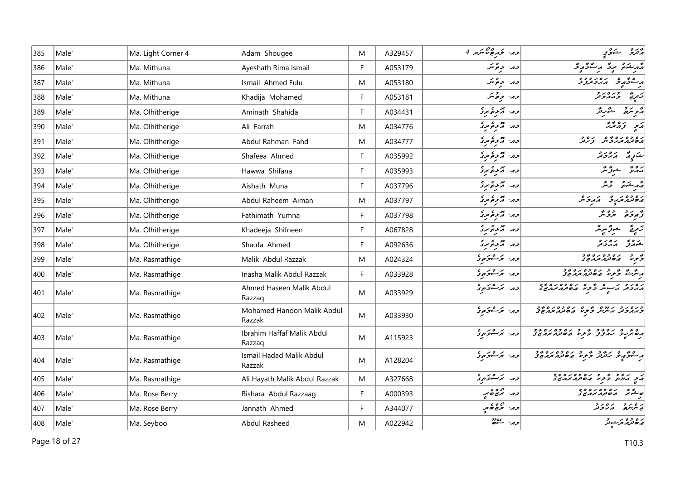| 385 | Male' | Ma. Light Corner 4 | Adam Shougee                         | M           | A329457 | $4 \times 2 \times 10^{9}$         | أوره شوه تح                                                                         |
|-----|-------|--------------------|--------------------------------------|-------------|---------|------------------------------------|-------------------------------------------------------------------------------------|
| 386 | Male' | Ma. Mithuna        | Ayeshath Rima Ismail                 | F           | A053179 | در. دونگر                          | ړٌ د شوې مړی د سرگړي و                                                              |
| 387 | Male' | Ma. Mithuna        | Ismail Ahmed Fulu                    | M           | A053180 | دړ٠ د همتر                         | ر وه ده درود و در در در در در دارد و با در دارد کرد.<br>در سرگور پور در در در در در |
| 388 | Male' | Ma. Mithuna        | Khadija Mohamed                      | F           | A053181 | وړ وه ش                            | زَىرٍيٍّ دَيەردىر                                                                   |
| 389 | Male' | Ma. Olhitherige    | Aminath Shahida                      | $\mathsf F$ | A034431 | وړ٠ مر <sub>وم</sub> پرو           | أوسره شريقه                                                                         |
| 390 | Male' | Ma. Olhitherige    | Ali Farrah                           | M           | A034776 | وړ٠ مر <sub>وم</sub> پرو           | أقدمي ومرده                                                                         |
| 391 | Male' | Ma. Olhitherige    | Abdul Rahman Fahd                    | M           | A034777 | حەر، مەنزەتمەتى<br>1975-يىلى       | ره وه ره ده مه ده و<br>پره تربر تر سر محرکتر                                        |
| 392 | Male' | Ma. Olhitherige    | Shafeea Ahmed                        | $\mathsf F$ | A035992 | حەر بە ئەھمىرى<br>مەر بە ئەھمىرى   | شَرَرٍ مُدَحَّدَ                                                                    |
| 393 | Male' | Ma. Olhitherige    | Hawwa Shifana                        | F           | A035993 | حەر بەلگەم تەرى<br>12. مەلكەم      | رەپ خوتىر                                                                           |
| 394 | Male' | Ma. Olhitherige    | Aishath Muna                         | F           | A037796 | حەر، مەمدە ئەرى<br>حەر، مەمدە ئەرى | أقهر شده وتتر                                                                       |
| 395 | Male' | Ma. Olhitherige    | Abdul Raheem Aiman                   | M           | A037797 | حەر، مەنزىق بىرى<br>مەنبە          | גפנג בגפ גת בית                                                                     |
| 396 | Male' | Ma. Olhitherige    | Fathimath Yumna                      | $\mathsf F$ | A037798 |                                    | توجدة المرحمة                                                                       |
| 397 | Male' | Ma. Olhitherige    | Khadeeja Shifneen                    | F           | A067828 | بر بر<br>دړ٠ هره برو               | كَاتِرِيعٌ صَوَّرْ سِرِيْدُ                                                         |
| 398 | Male' | Ma. Olhitherige    | Shaufa Ahmed                         | F           | A092636 | دړ٠ تر ده برد                      | شەرق بەردىر                                                                         |
| 399 | Male' | Ma. Rasmathige     | Malik Abdul Razzak                   | M           | A024324 | دړ٠ برگورۍ                         | 22010201 24<br>331 השנג גנג                                                         |
| 400 | Male' | Ma. Rasmathige     | Inasha Malik Abdul Razzak            | F           | A033928 | در برگردی                          | وشرع و و ده ده ده دود                                                               |
| 401 | Male' | Ma. Rasmathige     | Ahmed Haseen Malik Abdul<br>Razzag   | M           | A033929 | در برگرده د                        | נפנד ג היית כבע הסינה מה                                                            |
| 402 | Male' | Ma. Rasmathige     | Mohamed Hanoon Malik Abdul<br>Razzak | M           | A033930 | دړ٠ برگروی                         | כנסני נחס לא סינסים נסקס.<br>בממכת מיתית כי <i>בט מסתח מ</i> מגו                    |
| 403 | Male' | Ma. Rasmathige     | Ibrahim Haffaf Malik Abdul<br>Razzaq | M           | A115923 |                                    |                                                                                     |
| 404 | Male' | Ma. Rasmathige     | Ismail Hadad Malik Abdul<br>Razzak   | M           | A128204 | در بر عرف در ع                     | ם מים הודר לי די הסרס הם הי                                                         |
| 405 | Male' | Ma. Rasmathige     | Ali Hayath Malik Abdul Razzak        | M           | A327668 | در برگرور م                        | ג גור כי כי הסכם הספרי<br>גיב ג'תם כיביו גם מממשיב                                  |
| 406 | Male' | Ma. Rose Berry     | Bishara Abdul Razzaag                | $\mathsf F$ | A000393 | در مرج ځېږ                         | ه شور ده وه ده و د<br>حشور می هرمربر                                                |
| 407 | Male' | Ma. Rose Berry     | Jannath Ahmed                        | F           | A344077 | 5.600                              | ג פ ג כ ג כ ג כ<br>ב ייניינים, ה ג כ ב                                              |
| 408 | Male' | Ma. Seyboo         | Abdul Rasheed                        | M           | A022942 | בוגי השמ                           | ره وه د بر<br>د ه فرو بر شونر                                                       |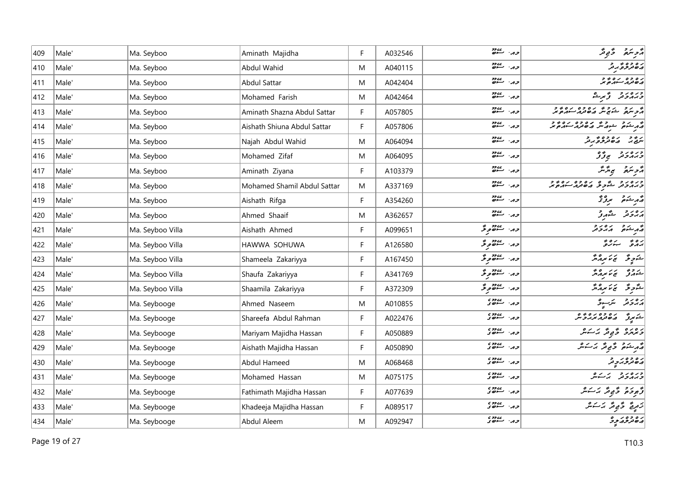| 409 | Male' | Ma. Seyboo       | Aminath Majidha             | F         | A032546 | בני היים                                | أأروسكم وتحفيظ                                |
|-----|-------|------------------|-----------------------------|-----------|---------|-----------------------------------------|-----------------------------------------------|
| 410 | Male' | Ma. Seyboo       | Abdul Wahid                 | M         | A040115 | ستده<br>و د.                            | ر ه و ه و .<br>پره تر تر تر                   |
| 411 | Male' | Ma. Seyboo       | <b>Abdul Sattar</b>         | M         | A042404 | בוגי השמ                                | ره وه رره د و<br>پره تربر سوړنو بر            |
| 412 | Male' | Ma. Seyboo       | Mohamed Farish              | M         | A042464 | בוגי השמ                                | ورەرو ۋىرىش                                   |
| 413 | Male' | Ma. Seyboo       | Aminath Shazna Abdul Sattar | F         | A057805 | בני היים                                | י גר גרני גסרס גסניר<br>הקייטה ביות הסנג מית  |
| 414 | Male' | Ma. Seyboo       | Aishath Shiuna Abdul Sattar | F         | A057806 | בוגי השמ                                |                                               |
| 415 | Male' | Ma. Seyboo       | Najah Abdul Wahid           | M         | A064094 | בוגי השימ                               | ر پر د ره وه پر و<br>سرچ پر اړه تر وي پر تر   |
| 416 | Male' | Ma. Seyboo       | Mohamed Zifaf               | ${\sf M}$ | A064095 | ستەھ<br>و د ۰                           | ورەرد پۇۋ                                     |
| 417 | Male' | Ma. Seyboo       | Aminath Ziyana              | F.        | A103379 | בוגי השמ                                | ومحر المتحرم المحافظة                         |
| 418 | Male' | Ma. Seyboo       | Mohamed Shamil Abdul Sattar | M         | A337169 | בוגי השמ                                | 2001 2 2001 2 2007<br>2000 2007 200 2007 2007 |
| 419 | Male' | Ma. Seyboo       | Aishath Rifga               | F         | A354260 | בוגי השמ                                | وأمر شكوم المحرورة                            |
| 420 | Male' | Ma. Seyboo       | Ahmed Shaaif                | M         | A362657 | ستده<br>و د ۰                           | رەرد شەر                                      |
| 421 | Male' | Ma. Seyboo Villa | Aishath Ahmed               | F         | A099651 | وړ سره وگ                               | و شهر ده در د<br>مگر شهر محمد در              |
| 422 | Male' | Ma. Seyboo Villa | HAWWA SOHUWA                | F         | A126580 | وړ٠ مشخصي بحر<br>د پر                   | رە پەرە بە                                    |
| 423 | Male' | Ma. Seyboo Villa | Shameela Zakariyya          | F         | A167450 | ی پر دی دی.<br>د پر ۱۰ سنده و د         | شَوْحٍ فِي مَا مَرْدِ مَرَّ                   |
| 424 | Male' | Ma. Seyboo Villa | Shaufa Zakariyya            | F         | A341769 | ره سوه و د<br>ده سوه و د                | ى ئەسرە بىر<br>شەرقۇ                          |
| 425 | Male' | Ma. Seyboo Villa | Shaamila Zakariyya          | F         | A372309 | وړ سره د ځ                              | شووق تمامه                                    |
| 426 | Male' | Ma. Seybooge     | Ahmed Naseem                | M         | A010855 | ود. ستمان                               | رەر ئەسرىسى                                   |
| 427 | Male' | Ma. Seybooge     | Shareefa Abdul Rahman       | F         | A022476 | ے وہ ی<br>مستون <sub>ک</sub><br>و د.    | ره وه ره ده و<br>پره تربر تر تر تر<br>ڪوپرڙ   |
| 428 | Male' | Ma. Seybooge     | Mariyam Majidha Hassan      | F         | A050889 | ے دو بر<br>مستون <sub>ک</sub><br>ر د.   | دەرە ئىرتر بەسەر                              |
| 429 | Male' | Ma. Seybooge     | Aishath Majidha Hassan      | F         | A050890 | ے دو بر<br>مسنون <sub>ک</sub><br>و د ۰  | و<br>مەرىخەم <i>دۇرى ئاسكىل</i>               |
| 430 | Male' | Ma. Seybooge     | <b>Abdul Hameed</b>         | M         | A068468 | ے دور ہ<br>دیں سندھ ی                   | ړ ه د ه پر چر                                 |
| 431 | Male' | Ma. Seybooge     | Mohamed Hassan              | M         | A075175 | ے دو ج<br>مستون <sub>ک</sub> ے<br>و د ۰ | ورەرو برىش                                    |
| 432 | Male' | Ma. Seybooge     | Fathimath Majidha Hassan    | F         | A077639 | ے دو بر<br>مستون <sub>ک</sub><br>و د ۰  | ۋە ئەق ئەبۇ ئەسەر                             |
| 433 | Male' | Ma. Seybooge     | Khadeeja Majidha Hassan     | F.        | A089517 | ے دو بر<br>مستون <sub>ک</sub><br>و د ۰  | تَارِيعٌ الْمُعَ إِلَيْ الْمُرْسَوَالْمُرْ    |
| 434 | Male' | Ma. Seybooge     | Abdul Aleem                 | ${\sf M}$ | A092947 | ود. ستمان                               | גם כפגב,<br>גם בקיבה בב                       |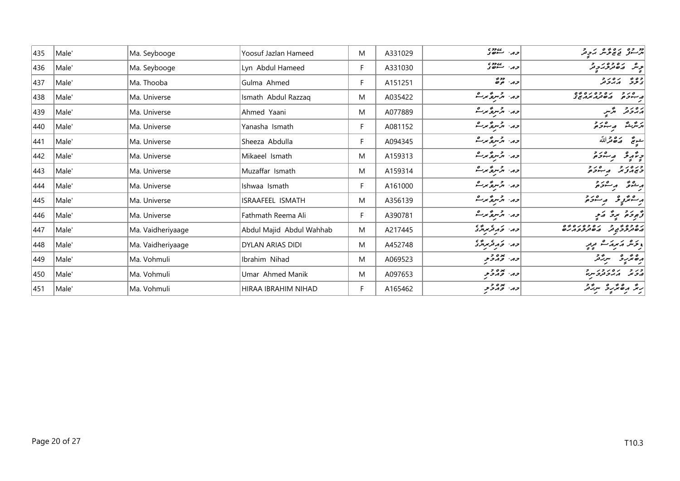| 435 | Male' | Ma. Seybooge      | Yoosuf Jazlan Hameed     | M  | A331029 | ود. سنه ده                 | מ כם קם מם קבת<br>ת—נך בשלת קבת                                          |
|-----|-------|-------------------|--------------------------|----|---------|----------------------------|--------------------------------------------------------------------------|
| 436 | Male' | Ma. Seybooge      | Lyn Abdul Hameed         | F. | A331030 | $502 - 15$                 | ا د شهره ده د د د د                                                      |
| 437 | Male' | Ma. Thooba        | Gulma Ahmed              | F  | A151251 | د د په ده                  | وه په مرد د<br>  د مرو کمر کرد                                           |
| 438 | Male' | Ma. Universe      | Ismath Abdul Razzaq      | M  | A035422 | حەر، مەس <i>وڭە</i> رگ     |                                                                          |
| 439 | Male' | Ma. Universe      | Ahmed Yaani              | M  | A077889 | حەر، مەس <i>بۇ بىر</i>     | پر ژوئر<br>الأرس                                                         |
| 440 | Male' | Ma. Universe      | Yanasha Ismath           | F  | A081152 | حەر، مەس <i>بۇ بىر</i>     | ەر بەدى<br> بزیگرینگه                                                    |
| 441 | Male' | Ma. Universe      | Sheeza Abdulla           | F  | A094345 | حەر بەر سەھىر س            | شویح <i>پرده قر</i> اللّه                                                |
| 442 | Male' | Ma. Universe      | Mikaeel Ismath           | M  | A159313 | حەر، ت <i>ەر س</i> ۇ برگ   | جِنَّہُ فِرْ مِسْرَمِ                                                    |
| 443 | Male' | Ma. Universe      | Muzaffar Ismath          | M  | A159314 | حەر، مەس <i>وڭە</i> رگ     | 3 ره ر ج<br>ح مي هر تو نيمه<br>ەربەدە                                    |
| 444 | Male' | Ma. Universe      | Ishwaa Ismath            | F. | A161000 | حەر، مەس <i>بۇ بىر</i>     | أرشدة وسنوح                                                              |
| 445 | Male' | Ma. Universe      | <b>ISRAAFEEL ISMATH</b>  | M  | A356139 | حەر، مەس <i>بۇ بىر</i>     | ر مشترو و سرده                                                           |
| 446 | Male' | Ma. Universe      | Fathmath Reema Ali       | F. | A390781 | حەر بەر سەھىر شە           | أوُّ وَحَمْ بِرِحٌ مَدٍ                                                  |
| 447 | Male' | Ma. Vaidheriyaage | Abdul Majid Abdul Wahhab | M  | A217445 | در و دیگریزی               | ر ۵ ۶ ۵ ۶ ۶ ۶ ۶ ۶ ۵ ۶ ۵ ۶ ۵ ۶ ۵<br>ג ه تر تر تر تر به ه تر تر و ۱ ۸ ۶ تر |
| 448 | Male' | Ma. Vaidheriyaage | <b>DYLAN ARIAS DIDI</b>  | M  | A452748 | בו לולמת                   | وبخنثر مجبرمك ويور                                                       |
| 449 | Male' | Ma. Vohmuli       | Ibrahim Nihad            | M  | A069523 | $20 \times$<br>ود. وردو    | رەنزىرو بىرىگە                                                           |
| 450 | Male' | Ma. Vohmuli       | Umar Ahmed Manik         | M  | A097653 | وړ٠ و۶۵۶ و                 | כנ כן כניכני כי<br>הכיני הגבעבייניו                                      |
| 451 | Male' | Ma. Vohmuli       | HIRAA IBRAHIM NIHAD      | F. | A165462 | $20 \times$<br>وبرس وبرومر | به نه مرغه پره مرسمه                                                     |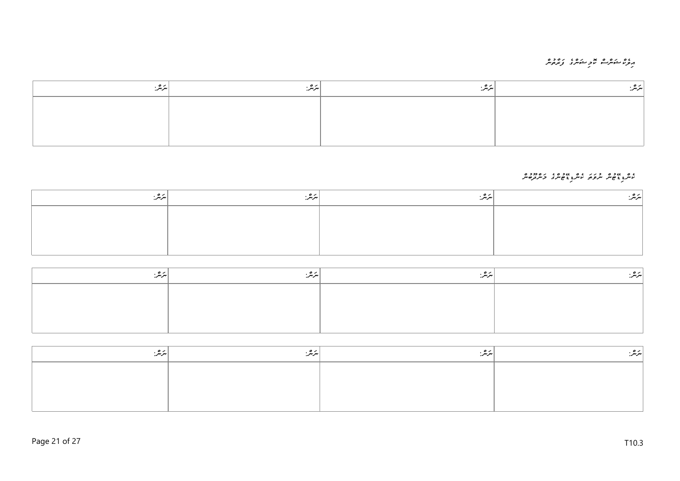## *w7qAn8m? sCw7mRo>u; wEw7mRw;sBo<*

| ' مرمر | 'يئرىثر: |
|--------|----------|
|        |          |
|        |          |
|        |          |

## *w7q9r@w7m> sCw7qHtFoFw7s; mAm=q7 w7qHtFoFw7s;*

| ىر تە | $\mathcal{O} \times$<br>$\sim$ | $\sim$<br>. . | لترنثر |
|-------|--------------------------------|---------------|--------|
|       |                                |               |        |
|       |                                |               |        |
|       |                                |               |        |

| $\frac{2}{n}$ | $\overline{\phantom{a}}$ | اير هنه. | $\mathcal{O} \times$<br>سرسر |
|---------------|--------------------------|----------|------------------------------|
|               |                          |          |                              |
|               |                          |          |                              |
|               |                          |          |                              |

| ' ئىرتىر: | سر سر |  |
|-----------|-------|--|
|           |       |  |
|           |       |  |
|           |       |  |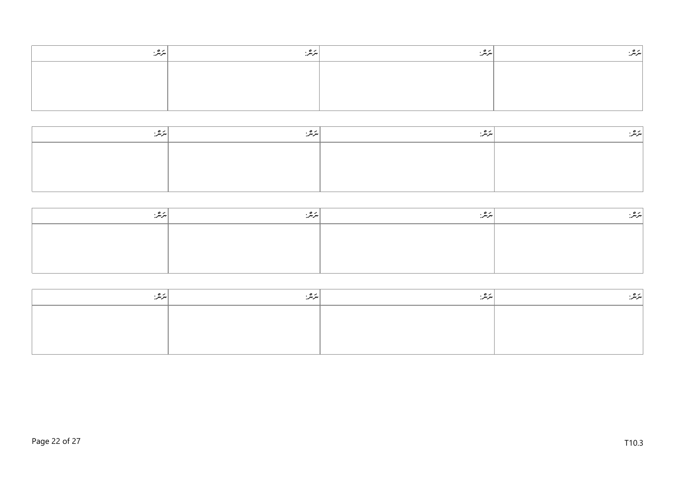| يزهر | $^{\circ}$ | ىئرىتر: |  |
|------|------------|---------|--|
|      |            |         |  |
|      |            |         |  |
|      |            |         |  |

| متريثر به | 。<br>'سرسر'۔ | يتزيترا | سرسر |
|-----------|--------------|---------|------|
|           |              |         |      |
|           |              |         |      |
|           |              |         |      |

| ىئرىتر. | $\sim$ | ا بر هه. | لىرىش |
|---------|--------|----------|-------|
|         |        |          |       |
|         |        |          |       |
|         |        |          |       |

| 。<br>مرس. | $\overline{\phantom{a}}$<br>مر سر | يتريثر |
|-----------|-----------------------------------|--------|
|           |                                   |        |
|           |                                   |        |
|           |                                   |        |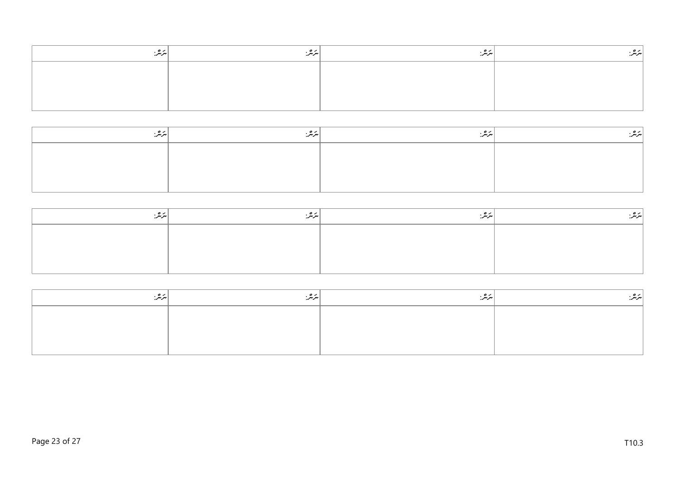| ير هو . | $\overline{\phantom{a}}$ | يرمر | اير هنه. |
|---------|--------------------------|------|----------|
|         |                          |      |          |
|         |                          |      |          |
|         |                          |      |          |

| ىر ھ | $\circ$ $\sim$<br>ا سرسر. | $\circ$ $\sim$<br>' سرسر . | o <i>~</i><br>سرسر. |
|------|---------------------------|----------------------------|---------------------|
|      |                           |                            |                     |
|      |                           |                            |                     |
|      |                           |                            |                     |

| 'تترنثر: | . .<br>يسمونس. |  |
|----------|----------------|--|
|          |                |  |
|          |                |  |
|          |                |  |

|  | . ه |
|--|-----|
|  |     |
|  |     |
|  |     |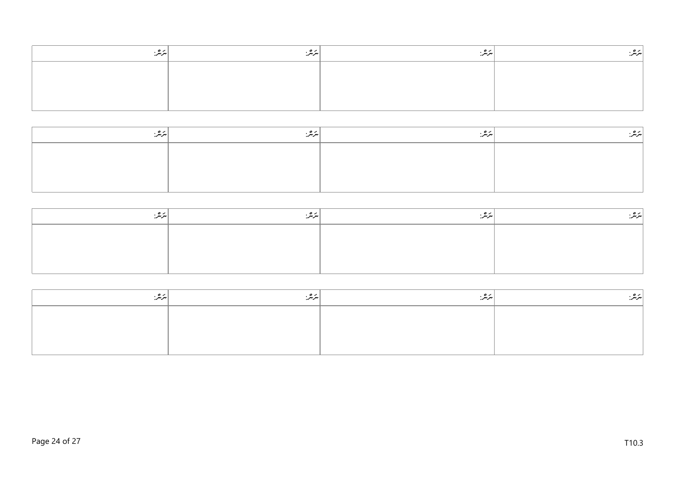| ير هو . | $\overline{\phantom{a}}$ | يرمر | اير هنه. |
|---------|--------------------------|------|----------|
|         |                          |      |          |
|         |                          |      |          |
|         |                          |      |          |

| ىر تىر: | $\circ$ $\sim$<br>" سرسر . | يبرحه | o . |
|---------|----------------------------|-------|-----|
|         |                            |       |     |
|         |                            |       |     |
|         |                            |       |     |

| انترنثر: | ر ه |  |
|----------|-----|--|
|          |     |  |
|          |     |  |
|          |     |  |

|  | . ه |
|--|-----|
|  |     |
|  |     |
|  |     |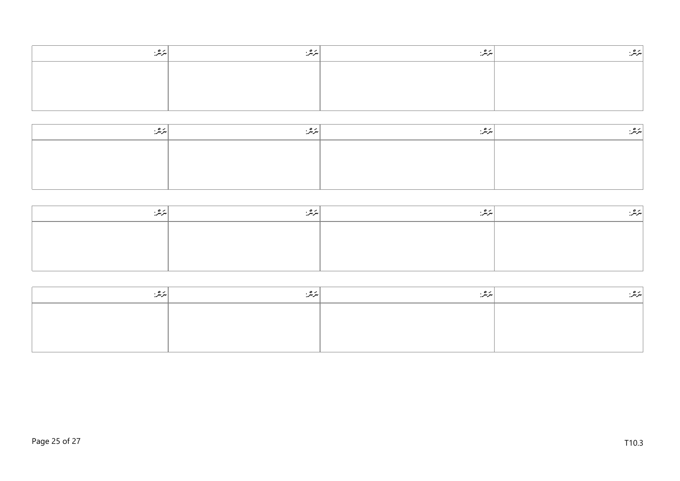| $\cdot$ | ο. | $\frac{\circ}{\cdot}$ | $\sim$<br>سرسر |
|---------|----|-----------------------|----------------|
|         |    |                       |                |
|         |    |                       |                |
|         |    |                       |                |

| يريثن | ' سرسر . |  |
|-------|----------|--|
|       |          |  |
|       |          |  |
|       |          |  |

| بر ه | 。 | $\sim$<br>َ سومس. |  |
|------|---|-------------------|--|
|      |   |                   |  |
|      |   |                   |  |
|      |   |                   |  |

| 。<br>. س | ىرىىر |  |
|----------|-------|--|
|          |       |  |
|          |       |  |
|          |       |  |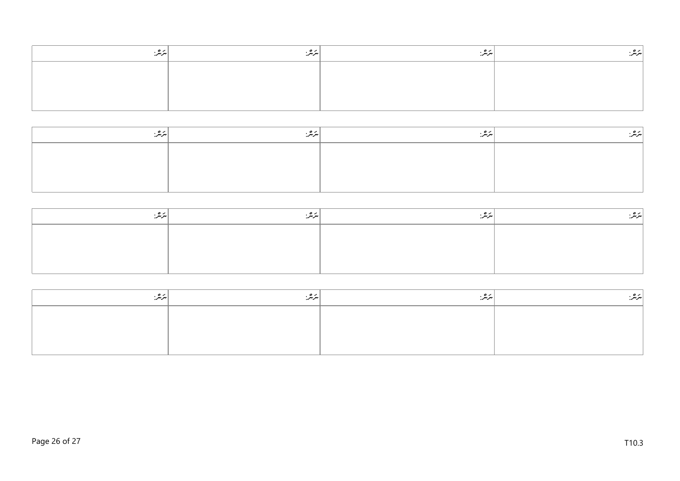| ير هو . | $\overline{\phantom{a}}$ | يرمر | لتزمثن |
|---------|--------------------------|------|--------|
|         |                          |      |        |
|         |                          |      |        |
|         |                          |      |        |

| ىبرىر. | $\sim$<br>ا سرسر . | يئرمثر | o . |
|--------|--------------------|--------|-----|
|        |                    |        |     |
|        |                    |        |     |
|        |                    |        |     |

| كترنثر: | 。 | 。<br>سرسر. | o <i>~</i> |
|---------|---|------------|------------|
|         |   |            |            |
|         |   |            |            |
|         |   |            |            |

|  | . ه |
|--|-----|
|  |     |
|  |     |
|  |     |